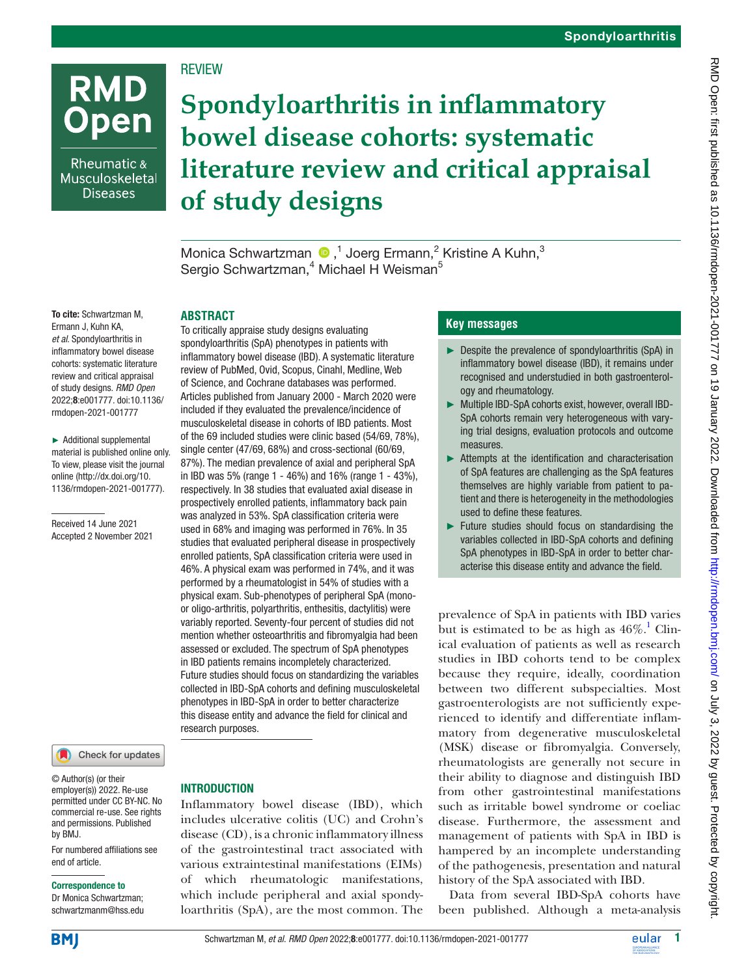# **REVIEW**

Rheumatic & Musculoskeletal **Diseases** 

**RMD** 

**Open** 

# **Spondyloarthritis in inflammatory bowel disease cohorts: systematic literature review and critical appraisal of study designs**

MonicaSchwartzman <sup>®</sup>,<sup>1</sup> Joerg Ermann,<sup>2</sup> Kristine A Kuhn,<sup>3</sup> Sergio Schwartzman,<sup>4</sup> Michael H Weisman<sup>5</sup>

### **ABSTRACT**

To cite: Schwartzman M, Ermann J, Kuhn KA, *et al*. Spondyloarthritis in inflammatory bowel disease cohorts: systematic literature review and critical appraisal of study designs. *RMD Open* 2022;8:e001777. doi:10.1136/ rmdopen-2021-001777

► Additional supplemental material is published online only. To view, please visit the journal online ([http://dx.doi.org/10.](http://dx.doi.org/10.1136/rmdopen-2021-001777) [1136/rmdopen-2021-001777\)](http://dx.doi.org/10.1136/rmdopen-2021-001777).

Received 14 June 2021 Accepted 2 November 2021

### Check for updates

© Author(s) (or their employer(s)) 2022. Re-use permitted under CC BY-NC. No commercial re-use. See rights and permissions. Published by BMJ.

For numbered affiliations see end of article.

### Correspondence to

Dr Monica Schwartzman; schwartzmanm@hss.edu

spondyloarthritis (SpA) phenotypes in patients with inflammatory bowel disease (IBD). A systematic literature review of PubMed, Ovid, Scopus, Cinahl, Medline, Web of Science, and Cochrane databases was performed. Articles published from January 2000 - March 2020 were included if they evaluated the prevalence/incidence of musculoskeletal disease in cohorts of IBD patients. Most of the 69 included studies were clinic based (54/69, 78%), single center (47/69, 68%) and cross-sectional (60/69, 87%). The median prevalence of axial and peripheral SpA in IBD was 5% (range 1 - 46%) and 16% (range 1 - 43%), respectively. In 38 studies that evaluated axial disease in prospectively enrolled patients, inflammatory back pain was analyzed in 53%. SpA classification criteria were used in 68% and imaging was performed in 76%. In 35 studies that evaluated peripheral disease in prospectively enrolled patients, SpA classification criteria were used in 46%. A physical exam was performed in 74%, and it was performed by a rheumatologist in 54% of studies with a physical exam. Sub-phenotypes of peripheral SpA (monoor oligo-arthritis, polyarthritis, enthesitis, dactylitis) were variably reported. Seventy-four percent of studies did not mention whether osteoarthritis and fibromyalgia had been assessed or excluded. The spectrum of SpA phenotypes in IBD patients remains incompletely characterized. Future studies should focus on standardizing the variables collected in IBD-SpA cohorts and defining musculoskeletal phenotypes in IBD-SpA in order to better characterize this disease entity and advance the field for clinical and research purposes.

To critically appraise study designs evaluating

### **INTRODUCTION**

Inflammatory bowel disease (IBD), which includes ulcerative colitis (UC) and Crohn's disease (CD), is a chronic inflammatory illness of the gastrointestinal tract associated with various extraintestinal manifestations (EIMs) of which rheumatologic manifestations, which include peripheral and axial spondyloarthritis (SpA), are the most common. The

### **Key messages**

- ► Despite the prevalence of spondyloarthritis (SpA) in inflammatory bowel disease (IBD), it remains under recognised and understudied in both gastroenterology and rheumatology.
- ► Multiple IBD-SpA cohorts exist, however, overall IBD-SpA cohorts remain very heterogeneous with varying trial designs, evaluation protocols and outcome measures.
- ► Attempts at the identification and characterisation of SpA features are challenging as the SpA features themselves are highly variable from patient to patient and there is heterogeneity in the methodologies used to define these features.
- ► Future studies should focus on standardising the variables collected in IBD-SpA cohorts and defining SpA phenotypes in IBD-SpA in order to better characterise this disease entity and advance the field.

prevalence of SpA in patients with IBD varies but is estimated to be as high as  $46\%$ .<sup>[1](#page-11-0)</sup> Clinical evaluation of patients as well as research studies in IBD cohorts tend to be complex because they require, ideally, coordination between two different subspecialties. Most gastroenterologists are not sufficiently experienced to identify and differentiate inflammatory from degenerative musculoskeletal (MSK) disease or fibromyalgia. Conversely, rheumatologists are generally not secure in their ability to diagnose and distinguish IBD from other gastrointestinal manifestations such as irritable bowel syndrome or coeliac disease. Furthermore, the assessment and management of patients with SpA in IBD is hampered by an incomplete understanding of the pathogenesis, presentation and natural history of the SpA associated with IBD.

Data from several IBD-SpA cohorts have been published. Although a meta-analysis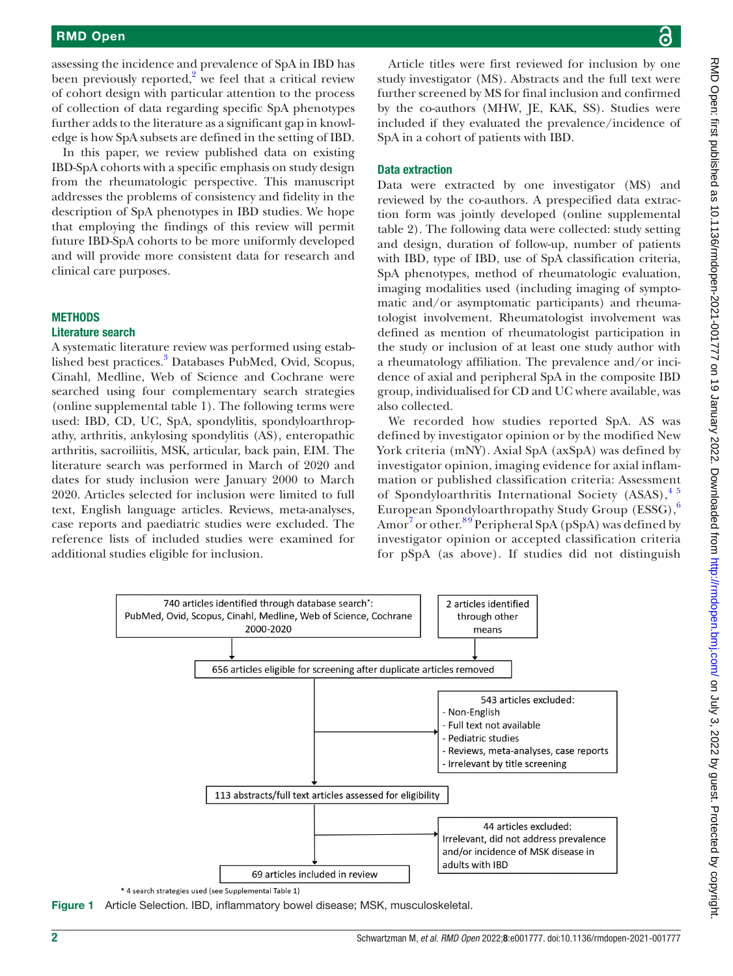assessing the incidence and prevalence of SpA in IBD has been previously reported, $2$  we feel that a critical review of cohort design with particular attention to the process of collection of data regarding specific SpA phenotypes further adds to the literature as a significant gap in knowledge is how SpA subsets are defined in the setting of IBD.

In this paper, we review published data on existing IBD-SpA cohorts with a specific emphasis on study design from the rheumatologic perspective. This manuscript addresses the problems of consistency and fidelity in the description of SpA phenotypes in IBD studies. We hope that employing the findings of this review will permit future IBD-SpA cohorts to be more uniformly developed and will provide more consistent data for research and clinical care purposes.

### **METHODS**

### Literature search

A systematic literature review was performed using estab-lished best practices.<sup>[3](#page-11-2)</sup> Databases PubMed, Ovid, Scopus, Cinahl, Medline, Web of Science and Cochrane were searched using four complementary search strategies [\(online supplemental table 1](https://dx.doi.org/10.1136/rmdopen-2021-001777)). The following terms were used: IBD, CD, UC, SpA, spondylitis, spondyloarthropathy, arthritis, ankylosing spondylitis (AS), enteropathic arthritis, sacroiliitis, MSK, articular, back pain, EIM. The literature search was performed in March of 2020 and dates for study inclusion were January 2000 to March 2020. Articles selected for inclusion were limited to full text, English language articles. Reviews, meta-analyses, case reports and paediatric studies were excluded. The reference lists of included studies were examined for additional studies eligible for inclusion.

Article titles were first reviewed for inclusion by one study investigator (MS). Abstracts and the full text were further screened by MS for final inclusion and confirmed by the co-authors (MHW, JE, KAK, SS). Studies were included if they evaluated the prevalence/incidence of SpA in a cohort of patients with IBD.

### Data extraction

Data were extracted by one investigator (MS) and reviewed by the co-authors. A prespecified data extraction form was jointly developed [\(online supplemental](https://dx.doi.org/10.1136/rmdopen-2021-001777) [table 2](https://dx.doi.org/10.1136/rmdopen-2021-001777)). The following data were collected: study setting and design, duration of follow-up, number of patients with IBD, type of IBD, use of SpA classification criteria, SpA phenotypes, method of rheumatologic evaluation, imaging modalities used (including imaging of symptomatic and/or asymptomatic participants) and rheumatologist involvement. Rheumatologist involvement was defined as mention of rheumatologist participation in the study or inclusion of at least one study author with a rheumatology affiliation. The prevalence and/or incidence of axial and peripheral SpA in the composite IBD group, individualised for CD and UC where available, was also collected.

We recorded how studies reported SpA. AS was defined by investigator opinion or by the modified New York criteria (mNY). Axial SpA (axSpA) was defined by investigator opinion, imaging evidence for axial inflammation or published classification criteria: Assessment of Spondyloarthritis International Society  $(ASAS)$ ,  $4^{5}$ European Spondyloarthropathy Study Group (ESSG),[6](#page-11-4) Amor<sup>[7](#page-11-5)</sup> or other.<sup>89</sup> Peripheral SpA (pSpA) was defined by investigator opinion or accepted classification criteria for pSpA (as above). If studies did not distinguish



<span id="page-1-0"></span>Figure 1 Article Selection. IBD, inflammatory bowel disease; MSK, musculoskeletal.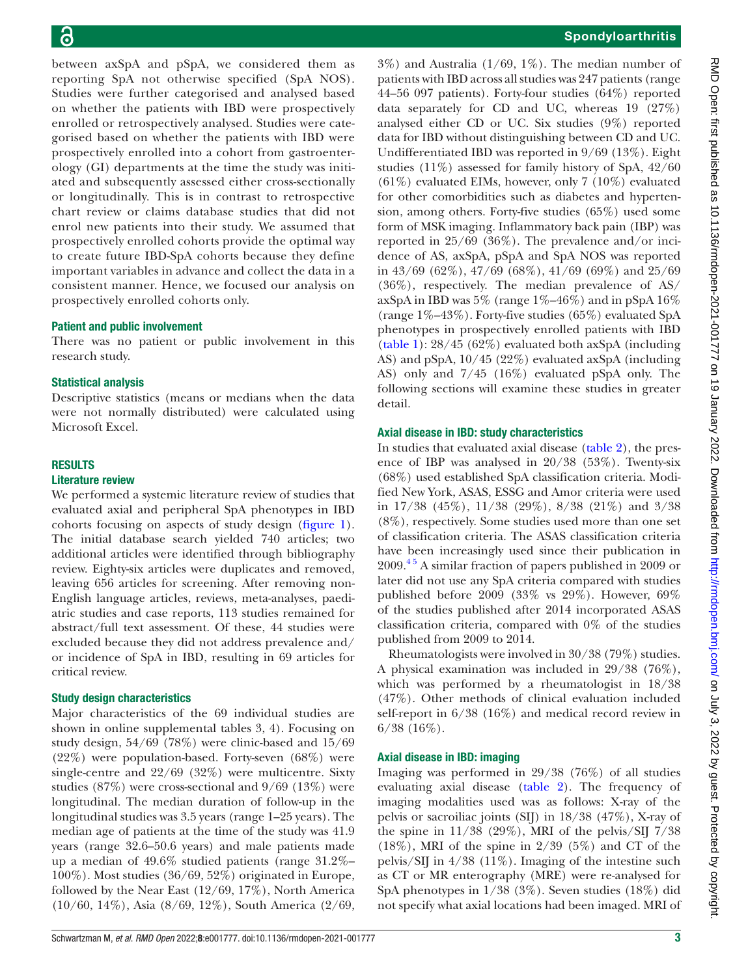between axSpA and pSpA, we considered them as reporting SpA not otherwise specified (SpA NOS). Studies were further categorised and analysed based on whether the patients with IBD were prospectively enrolled or retrospectively analysed. Studies were categorised based on whether the patients with IBD were prospectively enrolled into a cohort from gastroenterology (GI) departments at the time the study was initiated and subsequently assessed either cross-sectionally or longitudinally. This is in contrast to retrospective chart review or claims database studies that did not enrol new patients into their study. We assumed that prospectively enrolled cohorts provide the optimal way to create future IBD-SpA cohorts because they define important variables in advance and collect the data in a consistent manner. Hence, we focused our analysis on prospectively enrolled cohorts only.

### Patient and public involvement

There was no patient or public involvement in this research study.

### Statistical analysis

Descriptive statistics (means or medians when the data were not normally distributed) were calculated using Microsoft Excel.

### RESULTS

### Literature review

We performed a systemic literature review of studies that evaluated axial and peripheral SpA phenotypes in IBD cohorts focusing on aspects of study design [\(figure](#page-1-0) 1). The initial database search yielded 740 articles; two additional articles were identified through bibliography review. Eighty-six articles were duplicates and removed, leaving 656 articles for screening. After removing non-English language articles, reviews, meta-analyses, paediatric studies and case reports, 113 studies remained for abstract/full text assessment. Of these, 44 studies were excluded because they did not address prevalence and/ or incidence of SpA in IBD, resulting in 69 articles for critical review.

### Study design characteristics

Major characteristics of the 69 individual studies are shown in [online supplemental tables 3,](https://dx.doi.org/10.1136/rmdopen-2021-001777) [4](https://dx.doi.org/10.1136/rmdopen-2021-001777)). Focusing on study design, 54/69 (78%) were clinic-based and 15/69 (22%) were population-based. Forty-seven (68%) were single-centre and 22/69 (32%) were multicentre. Sixty studies (87%) were cross-sectional and 9/69 (13%) were longitudinal. The median duration of follow-up in the longitudinal studies was 3.5 years (range 1–25 years). The median age of patients at the time of the study was 41.9 years (range 32.6–50.6 years) and male patients made up a median of 49.6% studied patients (range 31.2%– 100%). Most studies (36/69, 52%) originated in Europe, followed by the Near East (12/69, 17%), North America (10/60, 14%), Asia (8/69, 12%), South America (2/69,

 $3\%$ ) and Australia (1/69, 1%). The median number of patients with IBD across all studies was 247 patients (range 44–56 097 patients). Forty-four studies (64%) reported data separately for CD and UC, whereas 19 (27%) analysed either CD or UC. Six studies (9%) reported data for IBD without distinguishing between CD and UC. Undifferentiated IBD was reported in 9/69 (13%). Eight studies (11%) assessed for family history of SpA, 42/60 (61%) evaluated EIMs, however, only 7 (10%) evaluated for other comorbidities such as diabetes and hypertension, among others. Forty-five studies (65%) used some form of MSK imaging. Inflammatory back pain (IBP) was reported in 25/69 (36%). The prevalence and/or incidence of AS, axSpA, pSpA and SpA NOS was reported in 43/69 (62%), 47/69 (68%), 41/69 (69%) and 25/69 (36%), respectively. The median prevalence of AS/ axSpA in IBD was  $5\%$  (range  $1\%$ –46%) and in pSpA  $16\%$ (range  $1\% - 43\%$ ). Forty-five studies (65%) evaluated SpA phenotypes in prospectively enrolled patients with IBD [\(table](#page-3-0) 1): 28/45 (62%) evaluated both axSpA (including AS) and pSpA, 10/45 (22%) evaluated axSpA (including AS) only and 7/45 (16%) evaluated pSpA only. The following sections will examine these studies in greater detail.

### Axial disease in IBD: study characteristics

In studies that evaluated axial disease ([table](#page-5-0) 2), the presence of IBP was analysed in 20/38 (53%). Twenty-six (68%) used established SpA classification criteria. Modified New York, ASAS, ESSG and Amor criteria were used in 17/38 (45%), 11/38 (29%), 8/38 (21%) and 3/38 (8%), respectively. Some studies used more than one set of classification criteria. The ASAS classification criteria have been increasingly used since their publication in 2009[.4 5](#page-11-3) A similar fraction of papers published in 2009 or later did not use any SpA criteria compared with studies published before 2009 (33% vs 29%). However, 69% of the studies published after 2014 incorporated ASAS classification criteria, compared with 0% of the studies published from 2009 to 2014.

Rheumatologists were involved in 30/38 (79%) studies. A physical examination was included in 29/38 (76%), which was performed by a rheumatologist in 18/38 (47%). Other methods of clinical evaluation included self-report in 6/38 (16%) and medical record review in 6/38 (16%).

### Axial disease in IBD: imaging

Imaging was performed in 29/38 (76%) of all studies evaluating axial disease [\(table](#page-5-0) 2). The frequency of imaging modalities used was as follows: X-ray of the pelvis or sacroiliac joints (SIJ) in 18/38 (47%), X-ray of the spine in  $11/38$  (29%), MRI of the pelvis/SIJ 7/38  $(18\%)$ , MRI of the spine in 2/39 (5%) and CT of the pelvis/SIJ in  $4/38$  (11%). Imaging of the intestine such as CT or MR enterography (MRE) were re-analysed for SpA phenotypes in 1/38 (3%). Seven studies (18%) did not specify what axial locations had been imaged. MRI of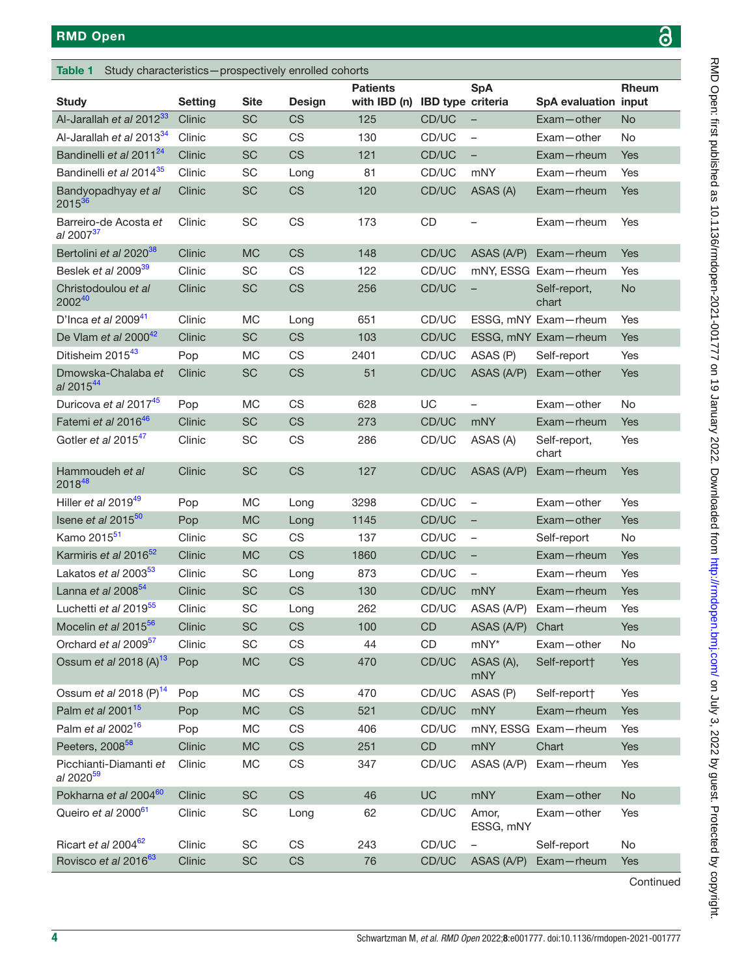<span id="page-3-0"></span>

| <b>Table 1</b><br>Study characteristics-prospectively enrolled cohorts |                |             |               |                                 |                   |                          |                       |           |
|------------------------------------------------------------------------|----------------|-------------|---------------|---------------------------------|-------------------|--------------------------|-----------------------|-----------|
| <b>Study</b>                                                           | <b>Setting</b> | <b>Site</b> | <b>Design</b> | <b>Patients</b><br>with IBD (n) | IBD type criteria | <b>SpA</b>               | SpA evaluation input  | Rheum     |
| Al-Jarallah et al 2012 <sup>33</sup>                                   | Clinic         | <b>SC</b>   | <b>CS</b>     | 125                             | CD/UC             |                          | Exam-other            | <b>No</b> |
| Al-Jarallah et al 2013 <sup>34</sup>                                   | Clinic         | SC          | CS            | 130                             | CD/UC             | $\qquad \qquad -$        | Exam-other            | No        |
| Bandinelli et al 2011 <sup>24</sup>                                    | Clinic         | SC          | <b>CS</b>     | 121                             | CD/UC             | -                        | Exam-rheum            | Yes       |
| Bandinelli et al 2014 <sup>35</sup>                                    | Clinic         | SC          | Long          | 81                              | CD/UC             | mNY                      | Exam-rheum            | Yes       |
| Bandyopadhyay et al<br>201536                                          | Clinic         | SC          | <b>CS</b>     | 120                             | CD/UC             | ASAS (A)                 | Exam-rheum            | Yes       |
| Barreiro-de Acosta et<br>al 2007 <sup>37</sup>                         | Clinic         | SC          | CS            | 173                             | CD                |                          | Exam-rheum            | Yes       |
| Bertolini et al 2020 <sup>38</sup>                                     | Clinic         | <b>MC</b>   | <b>CS</b>     | 148                             | CD/UC             | ASAS (A/P)               | Exam-rheum            | Yes       |
| Beslek et al 2009 <sup>39</sup>                                        | Clinic         | SC          | CS            | 122                             | CD/UC             |                          | mNY, ESSG Exam-rheum  | Yes       |
| Christodoulou et al<br>200240                                          | Clinic         | SC          | <b>CS</b>     | 256                             | CD/UC             | $\qquad \qquad -$        | Self-report,<br>chart | No        |
| D'Inca et al 2009 $41$                                                 | Clinic         | MC          | Long          | 651                             | CD/UC             |                          | ESSG, mNY Exam-rheum  | Yes       |
| De Vlam et al 2000 <sup>42</sup>                                       | Clinic         | <b>SC</b>   | <b>CS</b>     | 103                             | CD/UC             |                          | ESSG, mNY Exam-rheum  | Yes       |
| Ditisheim 2015 <sup>43</sup>                                           | Pop            | MC          | CS            | 2401                            | CD/UC             | ASAS (P)                 | Self-report           | Yes       |
| Dmowska-Chalaba et<br>al 201544                                        | Clinic         | SC          | <b>CS</b>     | 51                              | CD/UC             | ASAS (A/P)               | Exam-other            | Yes       |
| Duricova et al 2017 <sup>45</sup>                                      | Pop            | <b>MC</b>   | CS            | 628                             | UC                | $\qquad \qquad -$        | Exam-other            | <b>No</b> |
| Fatemi et al 201646                                                    | Clinic         | <b>SC</b>   | <b>CS</b>     | 273                             | CD/UC             | mNY                      | Exam-rheum            | Yes       |
| Gotler et al 2015 <sup>47</sup>                                        | Clinic         | SC          | CS            | 286                             | CD/UC             | ASAS (A)                 | Self-report,<br>chart | Yes       |
| Hammoudeh et al<br>201848                                              | Clinic         | <b>SC</b>   | <b>CS</b>     | 127                             | CD/UC             | ASAS (A/P)               | Exam-rheum            | Yes       |
| Hiller et al 2019 <sup>49</sup>                                        | Pop            | MC          | Long          | 3298                            | CD/UC             | $\qquad \qquad -$        | Exam-other            | Yes       |
| Isene et al 2015 <sup>50</sup>                                         | Pop            | <b>MC</b>   | Long          | 1145                            | CD/UC             | $\qquad \qquad -$        | Exam-other            | Yes       |
| Kamo 2015 <sup>51</sup>                                                | Clinic         | SC          | CS            | 137                             | CD/UC             | $\qquad \qquad -$        | Self-report           | No        |
| Karmiris et al 2016 <sup>52</sup>                                      | Clinic         | <b>MC</b>   | <b>CS</b>     | 1860                            | CD/UC             | $\overline{\phantom{0}}$ | Exam-rheum            | Yes       |
| Lakatos et al 2003 <sup>53</sup>                                       | Clinic         | SC          | Long          | 873                             | CD/UC             | $\qquad \qquad -$        | Exam-rheum            | Yes       |
| Lanna et al 2008 <sup>54</sup>                                         | Clinic         | SC          | <b>CS</b>     | 130                             | CD/UC             | mNY                      | Exam-rheum            | Yes       |
| Luchetti et al 2019 <sup>55</sup>                                      | Clinic         | SC          | Long          | 262                             | CD/UC             | ASAS (A/P)               | Exam-rheum            | Yes       |
| Mocelin et al 2015 <sup>56</sup>                                       | Clinic         | SC          | <b>CS</b>     | 100                             | CD                | ASAS (A/P)               | Chart                 | Yes       |
| Orchard et al 2009 <sup>57</sup>                                       | Clinic         | SC          | CS            | 44                              | CD                | mNY*                     | Exam-other            | No        |
| Ossum et al 2018 (A) $^{13}$                                           | Pop            | MC          | <b>CS</b>     | 470                             | CD/UC             | ASAS (A),<br><b>mNY</b>  | Self-report†          | Yes       |
| Ossum et al 2018 (P) <sup>14</sup>                                     | Pop            | MC          | CS            | 470                             | CD/UC             | ASAS (P)                 | Self-report†          | Yes       |
| Palm et al 2001 <sup>15</sup>                                          | Pop            | <b>MC</b>   | <b>CS</b>     | 521                             | CD/UC             | <b>mNY</b>               | Exam-rheum            | Yes       |
| Palm et al 2002 <sup>16</sup>                                          | Pop            | MC          | CS            | 406                             | CD/UC             |                          | mNY, ESSG Exam-rheum  | Yes       |
| Peeters, 2008 <sup>58</sup>                                            | Clinic         | MC          | <b>CS</b>     | 251                             | CD                | <b>mNY</b>               | Chart                 | Yes       |
| Picchianti-Diamanti et<br>al 2020 <sup>59</sup>                        | Clinic         | MC          | CS            | 347                             | CD/UC             | ASAS (A/P)               | Exam-rheum            | Yes       |
| Pokharna et al 2004 <sup>60</sup>                                      | Clinic         | SC          | <b>CS</b>     | 46                              | UC                | <b>mNY</b>               | Exam-other            | <b>No</b> |
| Queiro et al 2000 <sup>61</sup>                                        | Clinic         | SC          | Long          | 62                              | CD/UC             | Amor,<br>ESSG, mNY       | Exam-other            | Yes       |
| Ricart et al 2004 <sup>62</sup>                                        | Clinic         | SC          | CS            | 243                             | CD/UC             |                          | Self-report           | No        |
| Rovisco et al 2016 <sup>63</sup>                                       | Clinic         | SC          | CS            | 76                              | CD/UC             | ASAS (A/P)               | Exam-rheum            | Yes       |

Continued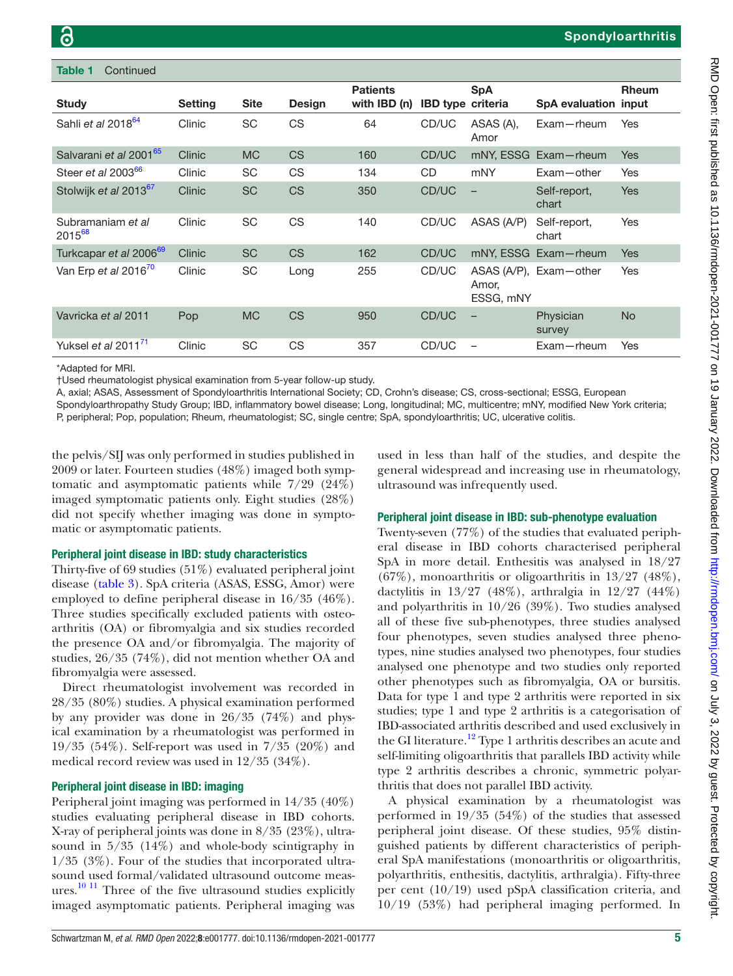$Continu$ 

| lavic I<br><b>UUITUITUCU</b>            |                |             |               |                                 |                          |                    |                        |              |
|-----------------------------------------|----------------|-------------|---------------|---------------------------------|--------------------------|--------------------|------------------------|--------------|
| <b>Study</b>                            | <b>Setting</b> | <b>Site</b> | <b>Design</b> | <b>Patients</b><br>with IBD (n) | <b>IBD</b> type criteria | <b>SpA</b>         | SpA evaluation input   | <b>Rheum</b> |
| Sahli et al 2018 <sup>64</sup>          | Clinic         | <b>SC</b>   | CS            | 64                              | CD/UC                    | ASAS (A),<br>Amor  | $Exam$ -rheum          | Yes          |
| Salvarani et al 2001 <sup>65</sup>      | Clinic         | <b>MC</b>   | <b>CS</b>     | 160                             | CD/UC                    |                    | mNY, ESSG Exam-rheum   | <b>Yes</b>   |
| Steer et al 2003 <sup>66</sup>          | Clinic         | SC          | <b>CS</b>     | 134                             | CD.                      | mNY                | $Exam - other$         | Yes          |
| Stolwijk et al 2013 <sup>67</sup>       | Clinic         | <b>SC</b>   | <b>CS</b>     | 350                             | CD/UC                    |                    | Self-report,<br>chart  | <b>Yes</b>   |
| Subramaniam et al<br>2015 <sup>68</sup> | Clinic         | <b>SC</b>   | CS            | 140                             | CD/UC                    | ASAS (A/P)         | Self-report,<br>chart  | Yes          |
| Turkcapar et al 2006 <sup>69</sup>      | Clinic         | <b>SC</b>   | CS.           | 162                             | CD/UC                    |                    | mNY, ESSG Exam-rheum   | <b>Yes</b>   |
| Van Erp et al 2016 <sup>70</sup>        | Clinic         | SC          | Long          | 255                             | CD/UC                    | Amor,<br>ESSG, mNY | ASAS (A/P), Exam-other | Yes          |
| Vavricka et al 2011                     | Pop            | <b>MC</b>   | <b>CS</b>     | 950                             | CD/UC                    |                    | Physician<br>survey    | <b>No</b>    |
| Yuksel et al 2011 $1$                   | Clinic         | <b>SC</b>   | CS            | 357                             | CD/UC                    |                    | $Exam$ -rheum          | Yes          |
|                                         |                |             |               |                                 |                          |                    |                        |              |

\*Adapted for MRI.

†Used rheumatologist physical examination from 5-year follow-up study.

A, axial; ASAS, Assessment of Spondyloarthritis International Society; CD, Crohn's disease; CS, cross-sectional; ESSG, European

Spondyloarthropathy Study Group; IBD, inflammatory bowel disease; Long, longitudinal; MC, multicentre; mNY, modified New York criteria; P, peripheral; Pop, population; Rheum, rheumatologist; SC, single centre; SpA, spondyloarthritis; UC, ulcerative colitis.

the pelvis/SIJ was only performed in studies published in 2009 or later. Fourteen studies (48%) imaged both symptomatic and asymptomatic patients while 7/29 (24%) imaged symptomatic patients only. Eight studies (28%) did not specify whether imaging was done in symptomatic or asymptomatic patients.

### Peripheral joint disease in IBD: study characteristics

Thirty-five of 69 studies (51%) evaluated peripheral joint disease ([table](#page-7-0) 3). SpA criteria (ASAS, ESSG, Amor) were employed to define peripheral disease in 16/35 (46%). Three studies specifically excluded patients with osteoarthritis (OA) or fibromyalgia and six studies recorded the presence OA and/or fibromyalgia. The majority of studies, 26/35 (74%), did not mention whether OA and fibromyalgia were assessed.

Direct rheumatologist involvement was recorded in 28/35 (80%) studies. A physical examination performed by any provider was done in 26/35 (74%) and physical examination by a rheumatologist was performed in 19/35 (54%). Self-report was used in 7/35 (20%) and medical record review was used in 12/35 (34%).

### Peripheral joint disease in IBD: imaging

Peripheral joint imaging was performed in 14/35 (40%) studies evaluating peripheral disease in IBD cohorts. X-ray of peripheral joints was done in 8/35 (23%), ultrasound in 5/35 (14%) and whole-body scintigraphy in 1/35 (3%). Four of the studies that incorporated ultrasound used formal/validated ultrasound outcome meas-ures.<sup>[10 11](#page-11-7)</sup> Three of the five ultrasound studies explicitly imaged asymptomatic patients. Peripheral imaging was

used in less than half of the studies, and despite the general widespread and increasing use in rheumatology, ultrasound was infrequently used.

### Peripheral joint disease in IBD: sub-phenotype evaluation

Twenty-seven (77%) of the studies that evaluated peripheral disease in IBD cohorts characterised peripheral SpA in more detail. Enthesitis was analysed in 18/27 (67%), monoarthritis or oligoarthritis in 13/27 (48%), dactylitis in 13/27 (48%), arthralgia in 12/27 (44%) and polyarthritis in 10/26 (39%). Two studies analysed all of these five sub-phenotypes, three studies analysed four phenotypes, seven studies analysed three phenotypes, nine studies analysed two phenotypes, four studies analysed one phenotype and two studies only reported other phenotypes such as fibromyalgia, OA or bursitis. Data for type 1 and type 2 arthritis were reported in six studies; type 1 and type 2 arthritis is a categorisation of IBD-associated arthritis described and used exclusively in the GI literature.<sup>12</sup> Type 1 arthritis describes an acute and self-limiting oligoarthritis that parallels IBD activity while type 2 arthritis describes a chronic, symmetric polyarthritis that does not parallel IBD activity.

A physical examination by a rheumatologist was performed in 19/35 (54%) of the studies that assessed peripheral joint disease. Of these studies, 95% distinguished patients by different characteristics of peripheral SpA manifestations (monoarthritis or oligoarthritis, polyarthritis, enthesitis, dactylitis, arthralgia). Fifty-three per cent (10/19) used pSpA classification criteria, and 10/19 (53%) had peripheral imaging performed. In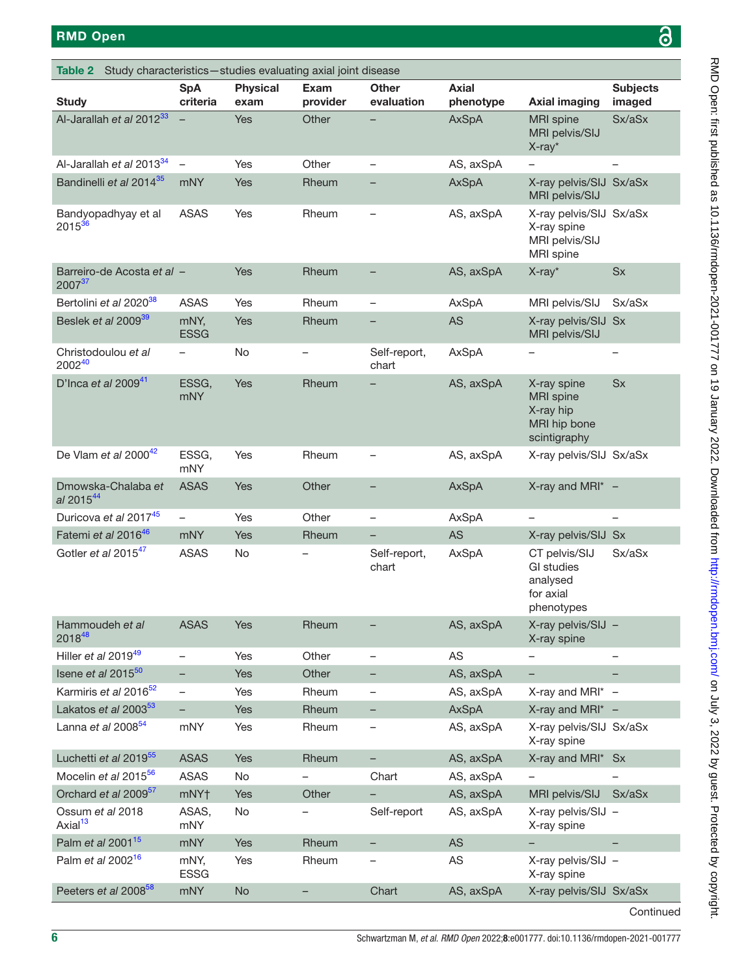RMD Open: first published as 10.1136/rmdopen-2021-001777 on 19 January 2022. Downloaded from <http://rmdopen.bmj.com/> on July 3, 2022 by guest. Protected by copyright.

RMD Open: first published as 10.11186/rmdopen-2021-001777 on 19 January 2022. Downloaded from http://rmdopen.bmj.com/ on July 3, 2022 by guest. Protected by copyright.

<span id="page-5-0"></span>

| Study characteristics-studies evaluating axial joint disease<br>Table 2 |                          |                         |                          |                            |                    |                                                                              |                           |
|-------------------------------------------------------------------------|--------------------------|-------------------------|--------------------------|----------------------------|--------------------|------------------------------------------------------------------------------|---------------------------|
| <b>Study</b>                                                            | <b>SpA</b><br>criteria   | <b>Physical</b><br>exam | Exam<br>provider         | <b>Other</b><br>evaluation | Axial<br>phenotype | <b>Axial imaging</b>                                                         | <b>Subjects</b><br>imaged |
| Al-Jarallah et al 2012 <sup>33</sup>                                    |                          | Yes                     | Other                    |                            | AxSpA              | <b>MRI</b> spine<br>MRI pelvis/SIJ<br>X-ray*                                 | Sx/aSx                    |
| Al-Jarallah et al 2013 <sup>34</sup>                                    | $\qquad \qquad -$        | Yes                     | Other                    | $\overline{\phantom{0}}$   | AS, axSpA          |                                                                              |                           |
| Bandinelli et al 2014 <sup>35</sup>                                     | mNY                      | Yes                     | Rheum                    | -                          | <b>AxSpA</b>       | X-ray pelvis/SIJ Sx/aSx<br>MRI pelvis/SIJ                                    |                           |
| Bandyopadhyay et al<br>2015 <sup>36</sup>                               | <b>ASAS</b>              | Yes                     | Rheum                    | $\qquad \qquad -$          | AS, axSpA          | X-ray pelvis/SIJ Sx/aSx<br>X-ray spine<br>MRI pelvis/SIJ<br><b>MRI</b> spine |                           |
| Barreiro-de Acosta et al -<br>200737                                    |                          | Yes                     | Rheum                    | $\qquad \qquad -$          | AS, axSpA          | X-ray*                                                                       | <b>Sx</b>                 |
| Bertolini et al 2020 <sup>38</sup>                                      | <b>ASAS</b>              | Yes                     | Rheum                    | $\qquad \qquad -$          | AxSpA              | MRI pelvis/SIJ                                                               | Sx/aSx                    |
| Beslek et al 2009 <sup>39</sup>                                         | mNY,<br><b>ESSG</b>      | Yes                     | Rheum                    |                            | AS                 | X-ray pelvis/SIJ Sx<br>MRI pelvis/SIJ                                        |                           |
| Christodoulou et al<br>200240                                           | -                        | No                      | -                        | Self-report,<br>chart      | AxSpA              | -                                                                            | $\overline{\phantom{0}}$  |
| D'Inca et al 2009 $41$                                                  | ESSG,<br><b>mNY</b>      | Yes                     | Rheum                    |                            | AS, axSpA          | X-ray spine<br><b>MRI</b> spine<br>X-ray hip<br>MRI hip bone<br>scintigraphy | <b>Sx</b>                 |
| De Vlam et al $2000^{42}$                                               | ESSG,<br>mNY             | Yes                     | Rheum                    | -                          | AS, axSpA          | X-ray pelvis/SIJ Sx/aSx                                                      |                           |
| Dmowska-Chalaba et<br>al 201544                                         | <b>ASAS</b>              | Yes                     | Other                    | -                          | <b>AxSpA</b>       | X-ray and MRI $* -$                                                          |                           |
| Duricova et al 201745                                                   | $\overline{\phantom{0}}$ | Yes                     | Other                    | $\qquad \qquad -$          | AxSpA              | $\overline{\phantom{0}}$                                                     |                           |
| Fatemi et al 2016 <sup>46</sup>                                         | mNY                      | Yes                     | Rheum                    | -                          | <b>AS</b>          | X-ray pelvis/SIJ Sx                                                          |                           |
| Gotler et al 2015 <sup>47</sup>                                         | <b>ASAS</b>              | No                      | -                        | Self-report,<br>chart      | AxSpA              | CT pelvis/SIJ<br><b>GI</b> studies<br>analysed<br>for axial<br>phenotypes    | Sx/aSx                    |
| Hammoudeh et al<br>201848                                               | <b>ASAS</b>              | Yes                     | Rheum                    |                            | AS, axSpA          | X-ray pelvis/SIJ -<br>X-ray spine                                            |                           |
| Hiller et al 2019 <sup>49</sup>                                         | $\overline{\phantom{0}}$ | Yes                     | Other                    | $\qquad \qquad -$          | AS                 |                                                                              | $\overline{\phantom{0}}$  |
| Isene et al $2015^{50}$                                                 | -                        | Yes                     | Other                    | -                          | AS, axSpA          | -                                                                            |                           |
| Karmiris et al 2016 <sup>52</sup>                                       | $\overline{\phantom{0}}$ | Yes                     | Rheum                    | -                          | AS, axSpA          | X-ray and MRI* -                                                             |                           |
| Lakatos et al 2003 <sup>53</sup>                                        | $\overline{\phantom{0}}$ | Yes                     | Rheum                    | -                          | AxSpA              | X-ray and MRI $* -$                                                          |                           |
| Lanna et al 2008 <sup>54</sup>                                          | mNY                      | Yes                     | Rheum                    |                            | AS, axSpA          | X-ray pelvis/SIJ Sx/aSx<br>X-ray spine                                       |                           |
| Luchetti et al 2019 <sup>55</sup>                                       | <b>ASAS</b>              | Yes                     | Rheum                    |                            | AS, axSpA          | X-ray and MRI*                                                               | <b>Sx</b>                 |
| Mocelin et al 2015 <sup>56</sup>                                        | <b>ASAS</b>              | No                      | $\overline{\phantom{0}}$ | Chart                      | AS, axSpA          |                                                                              |                           |
| Orchard et al 2009 <sup>57</sup>                                        | mNY†                     | Yes                     | Other                    | -                          | AS, axSpA          | MRI pelvis/SIJ                                                               | Sx/aSx                    |
| Ossum et al 2018<br>Axial <sup>13</sup>                                 | ASAS,<br>mNY             | No                      | $\overline{\phantom{0}}$ | Self-report                | AS, axSpA          | X-ray pelvis/SIJ -<br>X-ray spine                                            |                           |
| Palm et al 2001 <sup>15</sup>                                           | <b>mNY</b>               | Yes                     | Rheum                    | -                          | <b>AS</b>          |                                                                              |                           |
| Palm et al 2002 <sup>16</sup>                                           | mNY,<br><b>ESSG</b>      | Yes                     | Rheum                    |                            | AS                 | X-ray pelvis/SIJ -<br>X-ray spine                                            |                           |
| Peeters et al 2008 <sup>58</sup>                                        | <b>mNY</b>               | No                      | -                        | Chart                      | AS, axSpA          | X-ray pelvis/SIJ Sx/aSx                                                      |                           |

**Continued**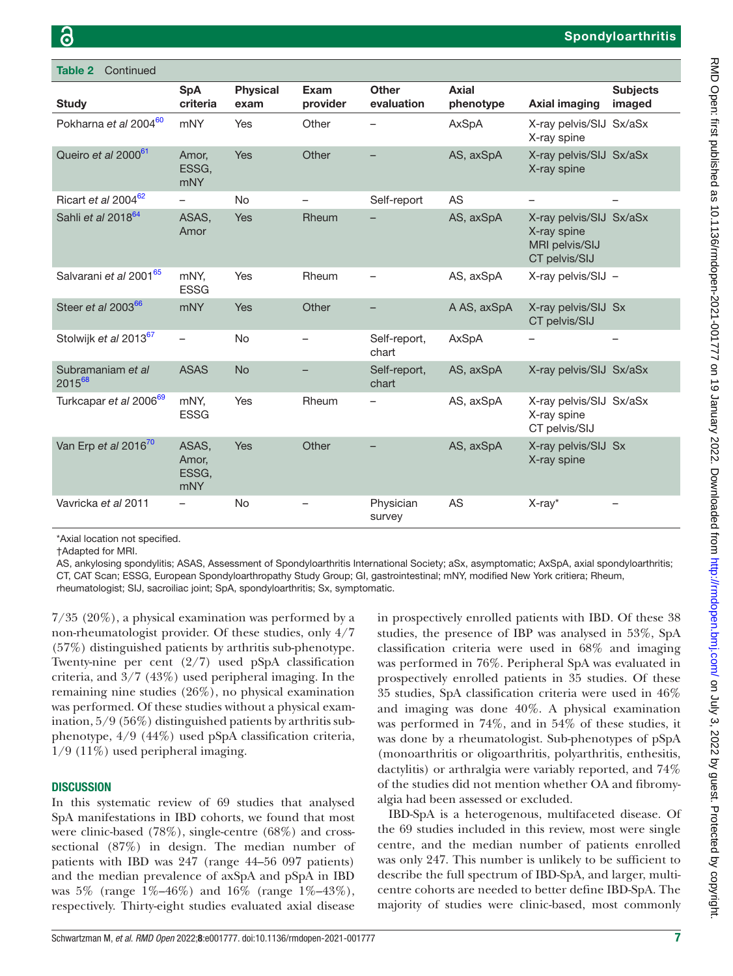| Continued<br>Table 2               |                                       |                         |                          |                            |                           |                                                                           |                           |
|------------------------------------|---------------------------------------|-------------------------|--------------------------|----------------------------|---------------------------|---------------------------------------------------------------------------|---------------------------|
| <b>Study</b>                       | <b>SpA</b><br>criteria                | <b>Physical</b><br>exam | Exam<br>provider         | <b>Other</b><br>evaluation | <b>Axial</b><br>phenotype | <b>Axial imaging</b>                                                      | <b>Subjects</b><br>imaged |
| Pokharna et al 200460              | <b>mNY</b>                            | Yes                     | Other                    |                            | AxSpA                     | X-ray pelvis/SIJ Sx/aSx<br>X-ray spine                                    |                           |
| Queiro et al 2000 <sup>61</sup>    | Amor,<br>ESSG,<br><b>mNY</b>          | Yes                     | Other                    |                            | AS, axSpA                 | X-ray pelvis/SIJ Sx/aSx<br>X-ray spine                                    |                           |
| Ricart et al 2004 <sup>62</sup>    | $\overline{\phantom{0}}$              | <b>No</b>               | $\overline{\phantom{0}}$ | Self-report                | AS                        | $\qquad \qquad -$                                                         |                           |
| Sahli et al 2018 <sup>64</sup>     | ASAS,<br>Amor                         | Yes                     | Rheum                    |                            | AS, axSpA                 | X-ray pelvis/SIJ Sx/aSx<br>X-ray spine<br>MRI pelvis/SIJ<br>CT pelvis/SIJ |                           |
| Salvarani et al 2001 <sup>65</sup> | mNY,<br><b>ESSG</b>                   | Yes                     | Rheum                    |                            | AS, axSpA                 | X-ray pelvis/SIJ -                                                        |                           |
| Steer et al 2003 <sup>66</sup>     | <b>mNY</b>                            | Yes                     | Other                    |                            | A AS, axSpA               | X-ray pelvis/SIJ Sx<br>CT pelvis/SIJ                                      |                           |
| Stolwijk et al 2013 <sup>67</sup>  | $\overline{\phantom{0}}$              | <b>No</b>               | $\overline{\phantom{0}}$ | Self-report,<br>chart      | AxSpA                     | -                                                                         |                           |
| Subramaniam et al<br>201568        | <b>ASAS</b>                           | <b>No</b>               |                          | Self-report,<br>chart      | AS, axSpA                 | X-ray pelvis/SIJ Sx/aSx                                                   |                           |
| Turkcapar et al 2006 <sup>69</sup> | mNY,<br><b>ESSG</b>                   | Yes                     | Rheum                    |                            | AS, axSpA                 | X-ray pelvis/SIJ Sx/aSx<br>X-ray spine<br>CT pelvis/SIJ                   |                           |
| Van Erp et al 2016 <sup>70</sup>   | ASAS,<br>Amor,<br>ESSG,<br><b>mNY</b> | Yes                     | Other                    |                            | AS, axSpA                 | X-ray pelvis/SIJ Sx<br>X-ray spine                                        |                           |
| Vavricka et al 2011                |                                       | <b>No</b>               |                          | Physician<br>survey        | AS                        | X-ray*                                                                    |                           |

\*Axial location not specified.

†Adapted for MRI.

AS, ankylosing spondylitis; ASAS, Assessment of Spondyloarthritis International Society; aSx, asymptomatic; AxSpA, axial spondyloarthritis; CT, CAT Scan; ESSG, European Spondyloarthropathy Study Group; GI, gastrointestinal; mNY, modified New York critiera; Rheum, rheumatologist; SIJ, sacroiliac joint; SpA, spondyloarthritis; Sx, symptomatic.

7/35 (20%), a physical examination was performed by a non-rheumatologist provider. Of these studies, only 4/7 (57%) distinguished patients by arthritis sub-phenotype. Twenty-nine per cent  $(2/7)$  used pSpA classification criteria, and 3/7 (43%) used peripheral imaging. In the remaining nine studies (26%), no physical examination was performed. Of these studies without a physical examination, 5/9 (56%) distinguished patients by arthritis subphenotype, 4/9 (44%) used pSpA classification criteria, 1/9 (11%) used peripheral imaging.

### **DISCUSSION**

In this systematic review of 69 studies that analysed SpA manifestations in IBD cohorts, we found that most were clinic-based (78%), single-centre (68%) and crosssectional (87%) in design. The median number of patients with IBD was 247 (range 44–56 097 patients) and the median prevalence of axSpA and pSpA in IBD was 5% (range 1%–46%) and 16% (range 1%–43%), respectively. Thirty-eight studies evaluated axial disease

in prospectively enrolled patients with IBD. Of these 38 studies, the presence of IBP was analysed in 53%, SpA classification criteria were used in 68% and imaging was performed in 76%. Peripheral SpA was evaluated in prospectively enrolled patients in 35 studies. Of these 35 studies, SpA classification criteria were used in 46% and imaging was done 40%. A physical examination was performed in 74%, and in 54% of these studies, it was done by a rheumatologist. Sub-phenotypes of pSpA (monoarthritis or oligoarthritis, polyarthritis, enthesitis, dactylitis) or arthralgia were variably reported, and 74% of the studies did not mention whether OA and fibromyalgia had been assessed or excluded.

IBD-SpA is a heterogenous, multifaceted disease. Of the 69 studies included in this review, most were single centre, and the median number of patients enrolled was only 247. This number is unlikely to be sufficient to describe the full spectrum of IBD-SpA, and larger, multicentre cohorts are needed to better define IBD-SpA. The majority of studies were clinic-based, most commonly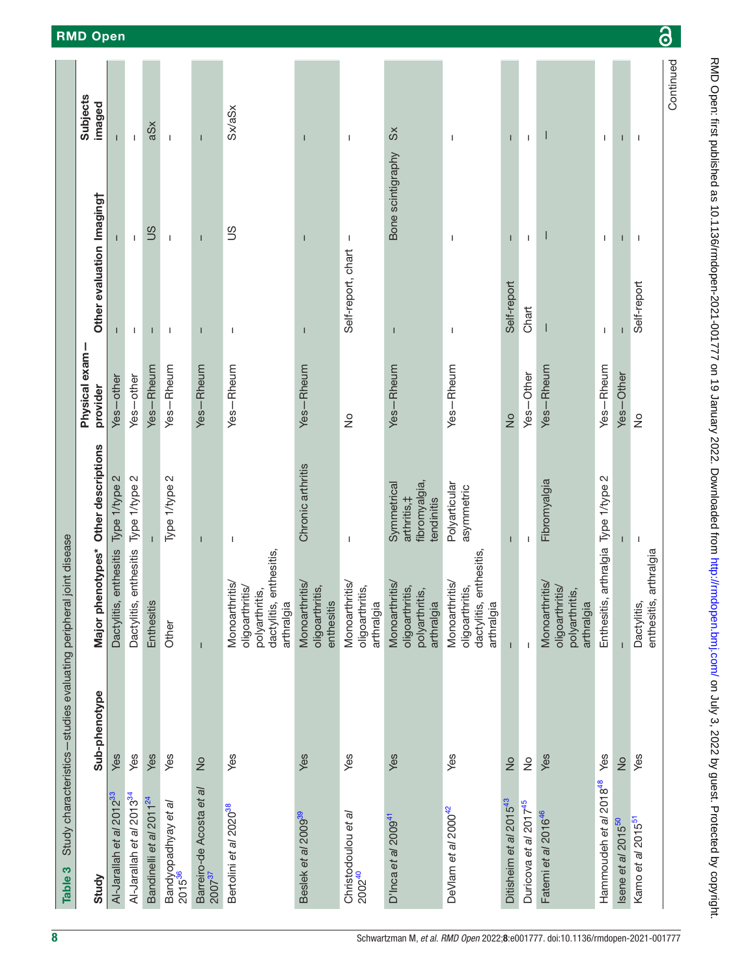<span id="page-7-0"></span>

| Table 3                                   | Study characteristics-studies evaluating peripheral joint disease |                                                                                              |                                                            |                            |                           |                          |                           |
|-------------------------------------------|-------------------------------------------------------------------|----------------------------------------------------------------------------------------------|------------------------------------------------------------|----------------------------|---------------------------|--------------------------|---------------------------|
| Study                                     | Sub-phenotype                                                     | Major phenotypes* Other descriptions                                                         |                                                            | Physical exam-<br>provider | Other evaluation Imaging† |                          | <b>Subjects</b><br>imaged |
| Al-Jarallah et al 2012 <sup>33</sup>      | Yes                                                               | Dactylitis, enthesitis                                                                       | Type 1/type 2                                              | -other<br>Yes-             |                           |                          | Т                         |
| Al-Jarallah et al 2013 <sup>34</sup>      | Yes                                                               | Dactylitis, enthesitis                                                                       | Type 1/type 2                                              | Yes-other                  | $\mathbf{I}$              | $\mathbf{I}$             | $\mathbf{I}$              |
| Bandinelli et al 2011 <sup>24</sup>       | Yes                                                               | Enthesitis                                                                                   |                                                            | Yes-Rheum                  |                           | SU                       | aSx                       |
| Bandyopadhyay et al<br>2015 <sup>36</sup> | Yes                                                               | Other                                                                                        | Type 1/type 2                                              | Yes-Rheum                  | $\mathbf{I}$              | $\mathbf{I}$             | $\mathbf{I}$              |
| Barreiro-de Acosta et al<br>$2007^{37}$   | $\frac{1}{2}$                                                     | $\mathbf{I}$                                                                                 |                                                            | Yes-Rheum                  |                           | $\mathsf{I}$             | $\mathsf{I}$              |
| Bertolini et al 2020 <sup>38</sup>        | Yes                                                               | dactylitis, enthesitis,<br>arthralgia<br>Monoarthritis/<br>oligoarthritis/<br>polyarthritis, | J.                                                         | Yes-Rheum                  | J.                        | SC                       | Sx/aSx                    |
| Beslek et al 2009 <sup>39</sup>           | Yes                                                               | Monoarthritis/<br>oligoarthritis,<br>enthesitis                                              | Chronic arthritis                                          | Yes-Rheum                  | $\overline{\phantom{a}}$  | $\overline{\phantom{a}}$ | I                         |
| Christodoulou et a/<br>2002 <sup>40</sup> | Yes                                                               | Monoarthritis/<br>oligoarthritis,<br>arthralgia                                              | $\overline{1}$                                             | $\frac{1}{2}$              | Self-report, chart        | T                        | T                         |
| D'Inca et al 2009 <sup>41</sup>           | Yes                                                               | <b>Monoarthritis</b><br>oligoarthritis,<br>polyarthritis,<br>arthralgia                      | fibromyalgia,<br>Symmetrical<br>arthritis, ‡<br>tendinitis | Yes-Rheum                  | ı                         | Bone scintigraphy        | $\Im$                     |
| DeVlam et al 2000 <sup>42</sup>           | Yes                                                               | dactylitis, enthesitis,<br>arthralgia<br>Monoarthritis/<br>oligoarthritis,                   | Polyarticular<br>asymmetric                                | Yes-Rheum                  | I                         | I                        | I                         |
| Ditisheim et al 2015 <sup>43</sup>        | $\frac{1}{2}$                                                     | $\overline{1}$                                                                               | T                                                          | $\frac{1}{2}$              | Self-report               | T                        | T                         |
| Duricova et al 2017 <sup>45</sup>         | $\frac{1}{2}$                                                     | $\mathbf{I}$                                                                                 | I.                                                         | Yes-Other                  | Chart                     | $\mathbf{I}$             | $\mathbf{I}$              |
| Fatemi et al 2016 <sup>46</sup>           | Yes                                                               | <b>Monoarthritis</b><br>oligoarthritis/<br>polyarthritis,<br>arthralgia                      | Fibromyalgia                                               | Yes-Rheum                  | I                         |                          |                           |
| Hammoudeh et al 2018 <sup>48</sup>        | Yes                                                               | Enthesitis, arthralgia Type 1/type 2                                                         |                                                            | Yes-Rheum                  | $\mathbf{I}$              | J.                       | $\mathbf{I}$              |
| Isene et al 2015 <sup>50</sup>            | $\frac{1}{2}$                                                     |                                                                                              |                                                            | Yes-Other                  |                           |                          |                           |
| Kamo et al 2015 <sup>51</sup>             | Yes                                                               | enthesitis, arthralgia<br>Dactylitis,                                                        | $\overline{1}$                                             | $\frac{1}{2}$              | Self-report               | $\mathbf{I}$             | T                         |
|                                           |                                                                   |                                                                                              |                                                            |                            |                           |                          | Continued                 |

RMD Open: first published as 10.1136/rmdopen-2021-001777 on 19 January 2022. Downloaded from <http://rmdopen.bmj.com/> on July 3, 2022 by guest. Protected by copyright.

RMD Open: first published as 10.11136/rmdopen-2021-001777 on 19 January 2022. Downloaded from http://rmdopen.bmj.com/ on July 3, 2022 by guest. Protected by copyright.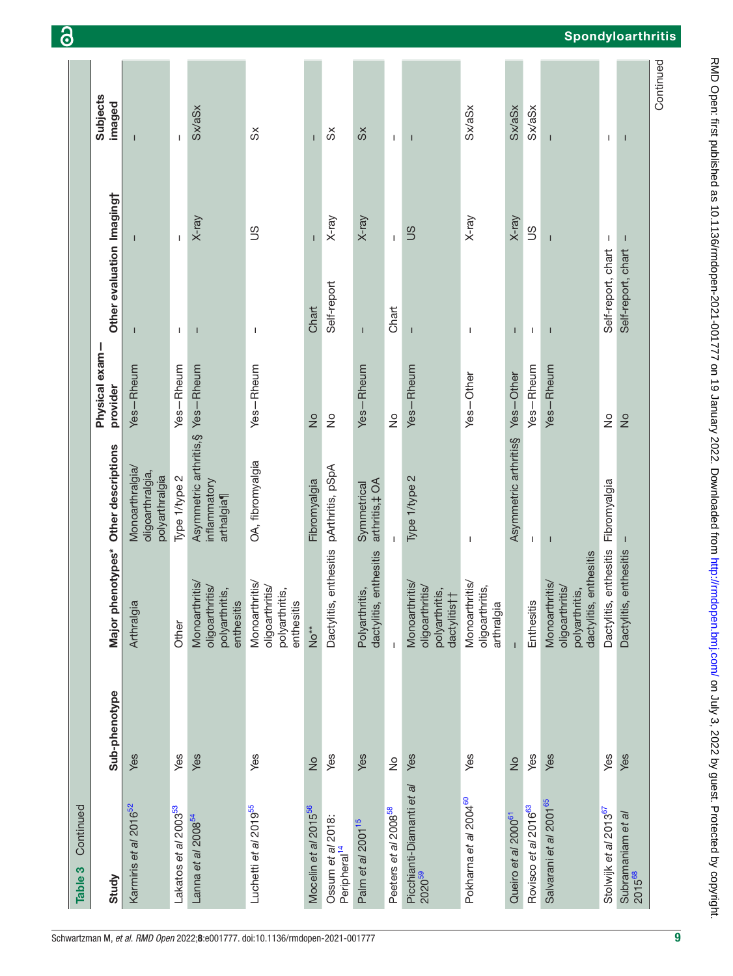| Continued<br>Table 3                                    |               |                                                                               |                                                                |                           |                           |                |                           |
|---------------------------------------------------------|---------------|-------------------------------------------------------------------------------|----------------------------------------------------------------|---------------------------|---------------------------|----------------|---------------------------|
| Study                                                   | Sub-phenotype | Major phenotypes* Other descriptions                                          |                                                                | Physical exam<br>provider | Other evaluation Imaging† |                | <b>Subjects</b><br>imaged |
| Karmiris et al 2016 <sup>52</sup>                       | Yes           | Arthralgia                                                                    | Monoarthralgia<br>oligoarthralgia,<br>polyarthralgia           | Yes-Rheum                 |                           |                | п                         |
| Lakatos et al 2003 <sup>53</sup>                        | Yes           | Other                                                                         | Type 1/type 2                                                  | Yes-Rheum                 | $\mathbf{I}$              | $\mathsf I$    | $\mathbf{I}$              |
| Lanna et al 2008 <sup>54</sup>                          | Yes           | Monoarthritis/<br>oligoarthritis/<br>polyarthritis,<br>enthesitis             | Asymmetric arthritis, §Yes-Rheum<br>inflammatory<br>arthalgia¶ |                           | Т                         | $X$ -ray       | <b>Sx/aSx</b>             |
| Luchetti et al 2019 <sup>55</sup>                       | Yes           | Monoarthritis/<br>oligoarthritis/<br>polyarthritis,<br>enthesitis             | OA, fibromyalgia                                               | Yes-Rheum                 | $\mathbf{I}$              | SC             | တိ                        |
| Mocelin et al 2015 <sup>56</sup>                        | $\frac{1}{2}$ | No <sup>**</sup>                                                              | Fibromyalgia                                                   | $\frac{1}{2}$             | Chart                     |                | $\mathbf{I}$              |
| Ossum et al 2018:<br>Peripheral <sup>14</sup>           | Yes           | Dactylitis, enthesitis                                                        | pArthritis, pSpA                                               | $\frac{1}{2}$             | Self-report               | X-ray          | $\delta$                  |
| Palm et al 2001 <sup>15</sup>                           | Yes           | dactylitis, enthesitis<br>Polyarthritis,                                      | arthritis, ‡OA<br>Symmetrical                                  | Yes-Rheum                 | $\overline{1}$            | X-ray          | $\Im$                     |
| Peeters et al 2008 <sup>58</sup>                        | $\frac{1}{2}$ | $\mathbf{I}$                                                                  |                                                                | $\frac{1}{2}$             | Chart                     | $\mathbf{I}$   | $\mathbf{L}$              |
| Picchianti-Diamanti e <i>t al</i><br>2020 <sup>59</sup> | Yes           | Monoarthritis/<br>oligoarthritis/<br>polyarthritis,<br>dactylitis††           | Type 1/type 2                                                  | Yes-Rheum                 |                           | SC             | $\overline{1}$            |
| Pokharna et al 2004 <sup>60</sup>                       | Yes           | Monoarthritis/<br>oligoarthritis,<br>arthralgia                               | $\overline{\phantom{a}}$                                       | Yes-Other                 | $\overline{\phantom{a}}$  | X-ray          | Sx/aSx                    |
| Queiro et al 2000 <sup>61</sup>                         | $\frac{1}{2}$ |                                                                               | Asymmetric arthritis§                                          | Yes-Other                 | $\mathsf{I}$              | X-ray          | Sx/aSx                    |
| Rovisco et al 2016 <sup>63</sup>                        | Yes           | Enthesitis                                                                    | J.                                                             | Yes-Rheum                 | $\mathbf{I}$              | SC             | Sx/aSx                    |
| Salvarani et al 2001 <sup>65</sup>                      | Yes           | dactylitis, enthesitis<br>Monoarthritis/<br>oligoarthritis/<br>polyarthritis, | $\overline{\phantom{a}}$                                       | Yes-Rheum                 | $\overline{\phantom{a}}$  | $\overline{1}$ | $\mathbf{I}$              |
| Stolwijk et al 2013 <sup>67</sup>                       | Yes           | Dactylitis, enthesitis Fibromyalgia                                           |                                                                | $\frac{1}{2}$             | Self-report, chart        | $\mathbf{I}$   | $\mathbf{I}$              |
| Subramaniam et al<br>2015 <sup>68</sup>                 | Yes           | Dactylitis, enthesitis                                                        |                                                                | $\frac{1}{2}$             | Self-report, chart        |                | T                         |
|                                                         |               |                                                                               |                                                                |                           |                           |                | Continued                 |

# RMD Open: first published as 10.11136/rmdopen-2021-001777 on 19 January 2022. Downloaded from http://rmdopen.bmj.com/ on July 3, 2022 by guest. Protected by copyright. RMD Open: first published as 10.1136/rmdopen-2021-001777 on 19 January 2022. Downloaded from <http://rmdopen.bmj.com/> on July 3, 2022 by guest. Protected by copyright.

**Spondyloarthritis** 

6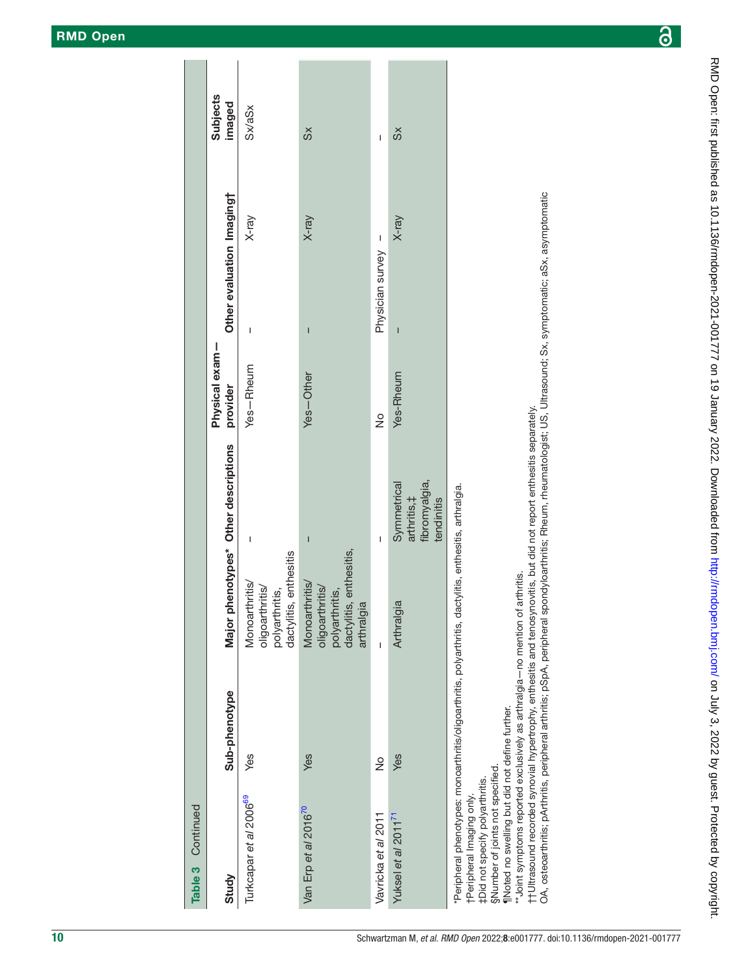$\overline{a}$ 

l.

| Table 3 Continued                  |                                                                         |                                                                                                  |                                                            |                            |                           |             |                           |
|------------------------------------|-------------------------------------------------------------------------|--------------------------------------------------------------------------------------------------|------------------------------------------------------------|----------------------------|---------------------------|-------------|---------------------------|
| Study                              | Sub-phenotype                                                           | Major phenotypes* Other descriptions                                                             |                                                            | Physical exam-<br>provider | Other evaluation Imagingt |             | <b>Subjects</b><br>imaged |
| Turkcapar et al 2006 <sup>69</sup> | Yes                                                                     | dactylitis, enthesitis<br>Monoarthritis/<br>oligoarthritis/<br>polyarthritis,                    | I                                                          | Yes-Rheum                  | I                         | X-ray       | Sx/aSx                    |
| Van Erp et al 2016 <sup>70</sup>   | Yes                                                                     | dactylitis, enthesitis,<br>Monoarthritis/<br>oligoarthritis/<br>polyarthritis,<br>gia<br>arthral | $\overline{\phantom{a}}$                                   | Yes-Other                  | $\overline{\phantom{a}}$  | X-ray       | $\breve{\in}$             |
| Vavricka et al 2011                | $\frac{1}{2}$                                                           | Ī                                                                                                | Ï                                                          | $\frac{1}{2}$              | Physician survey          | $\mathsf I$ | I                         |
| Yuksel et al 2011 <sup>71</sup>    | Yes                                                                     | Arthralgia                                                                                       | fibromyalgia,<br>Symmetrical<br>arthritis, ‡<br>tendinitis | Yes-Rheum                  | Ī                         | X-ray       | $\breve{\in}$             |
|                                    | *Peripheral phenotypes: monoarthritis/oligoarthritis, polyarthritis, or | dactylitis, enthesitis, arthralgia.                                                              |                                                            |                            |                           |             |                           |

tPeripheral Imaging only. †Peripheral Imaging only.

‡Did not specify polyarthritis. ‡Did not specify polyarthritis.

SNumber of joints not specified. §Number of joints not specified.

Moted no swelling but did not define further. ¶Noted no swelling but did not define further.

"Joint symptoms reported exclusively as arthralgia-no mention of arthritis. \*\*Joint symptoms reported exclusively as arthralgia—no mention of arthritis.

t Ultrasound recorded synovial hypertrophy, enthesitis and tenosynovitis, but did not report enthesitis separately. ††Ultrasound recorded synovial hypertrophy, enthesitis and tenosynovitis, but did not report enthesitis separately.

OA, osteoarthritis; pArthritis, peripheral arthritis; pSpA, peripheral spondyloarthritis; Rheum, rheumatologist; US, Ultrasound; Sx, symptomatic; aSx, asymptomatic OA, osteoarthritis; pArthritis, peripheral arthritis; pSpA, peripheral spondyloarthritis; Rheum, rheumatologist; US, Ultrasound; Sx, symptomatic; aSx, asymptomatic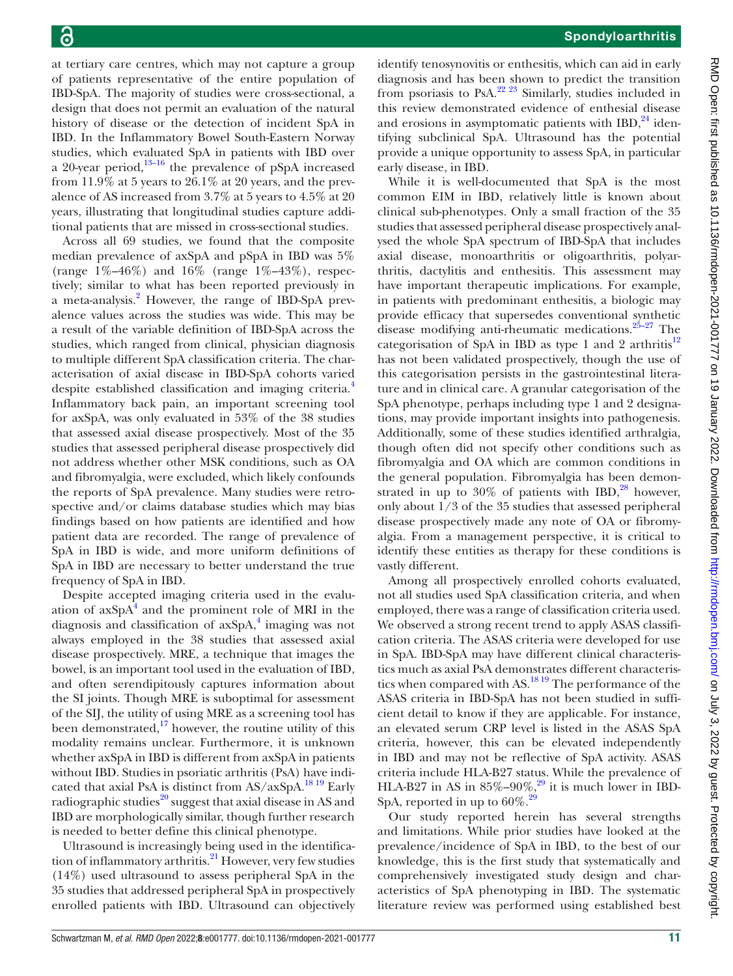at tertiary care centres, which may not capture a group of patients representative of the entire population of IBD-SpA. The majority of studies were cross-sectional, a design that does not permit an evaluation of the natural history of disease or the detection of incident SpA in IBD. In the Inflammatory Bowel South-Eastern Norway studies, which evaluated SpA in patients with IBD over a 20-year period, $13-16$  the prevalence of pSpA increased from  $11.9\%$  at 5 years to  $26.1\%$  at 20 years, and the prevalence of AS increased from 3.7% at 5 years to 4.5% at 20 years, illustrating that longitudinal studies capture additional patients that are missed in cross-sectional studies.

Across all 69 studies, we found that the composite median prevalence of axSpA and pSpA in IBD was 5% (range  $1\% - 46\%$ ) and  $16\%$  (range  $1\% - 43\%$ ), respectively; similar to what has been reported previously in a meta-analysis.<sup>[2](#page-11-1)</sup> However, the range of IBD-SpA prevalence values across the studies was wide. This may be a result of the variable definition of IBD-SpA across the studies, which ranged from clinical, physician diagnosis to multiple different SpA classification criteria. The characterisation of axial disease in IBD-SpA cohorts varied despite established classification and imaging criteria.<sup>[4](#page-11-3)</sup> Inflammatory back pain, an important screening tool for axSpA, was only evaluated in 53% of the 38 studies that assessed axial disease prospectively. Most of the 35 studies that assessed peripheral disease prospectively did not address whether other MSK conditions, such as OA and fibromyalgia, were excluded, which likely confounds the reports of SpA prevalence. Many studies were retrospective and/or claims database studies which may bias findings based on how patients are identified and how patient data are recorded. The range of prevalence of SpA in IBD is wide, and more uniform definitions of SpA in IBD are necessary to better understand the true frequency of SpA in IBD.

Despite accepted imaging criteria used in the evaluation of  $axSpA<sup>4</sup>$  $axSpA<sup>4</sup>$  $axSpA<sup>4</sup>$  and the prominent role of MRI in the diagnosis and classification of axSpA,<sup>4</sup> imaging was not always employed in the 38 studies that assessed axial disease prospectively. MRE, a technique that images the bowel, is an important tool used in the evaluation of IBD, and often serendipitously captures information about the SI joints. Though MRE is suboptimal for assessment of the SIJ, the utility of using MRE as a screening tool has been demonstrated, $17$  however, the routine utility of this modality remains unclear. Furthermore, it is unknown whether axSpA in IBD is different from axSpA in patients without IBD. Studies in psoriatic arthritis (PsA) have indicated that axial PsA is distinct from  $AS/axSpA$ .<sup>[18 19](#page-12-33)</sup> Early radiographic studies $^{20}$  suggest that axial disease in AS and IBD are morphologically similar, though further research is needed to better define this clinical phenotype.

Ultrasound is increasingly being used in the identification of inflammatory arthritis. $^{21}$  However, very few studies (14%) used ultrasound to assess peripheral SpA in the 35 studies that addressed peripheral SpA in prospectively enrolled patients with IBD. Ultrasound can objectively

identify tenosynovitis or enthesitis, which can aid in early diagnosis and has been shown to predict the transition from psoriasis to PsA.[22 23](#page-12-36) Similarly, studies included in this review demonstrated evidence of enthesial disease and erosions in asymptomatic patients with  $IBD<sub>1</sub><sup>24</sup>$  identifying subclinical SpA. Ultrasound has the potential provide a unique opportunity to assess SpA, in particular early disease, in IBD.

While it is well-documented that SpA is the most common EIM in IBD, relatively little is known about clinical sub-phenotypes. Only a small fraction of the 35 studies that assessed peripheral disease prospectively analysed the whole SpA spectrum of IBD-SpA that includes axial disease, monoarthritis or oligoarthritis, polyarthritis, dactylitis and enthesitis. This assessment may have important therapeutic implications. For example, in patients with predominant enthesitis, a biologic may provide efficacy that supersedes conventional synthetic disease modifying anti-rheumatic medications. $25-27$  The categorisation of SpA in IBD as type 1 and 2 arthritis $12$ has not been validated prospectively, though the use of this categorisation persists in the gastrointestinal literature and in clinical care. A granular categorisation of the SpA phenotype, perhaps including type 1 and 2 designations, may provide important insights into pathogenesis. Additionally, some of these studies identified arthralgia, though often did not specify other conditions such as fibromyalgia and OA which are common conditions in the general population. Fibromyalgia has been demonstrated in up to  $30\%$  of patients with IBD,<sup>28</sup> however, only about 1/3 of the 35 studies that assessed peripheral disease prospectively made any note of OA or fibromyalgia. From a management perspective, it is critical to identify these entities as therapy for these conditions is vastly different.

Among all prospectively enrolled cohorts evaluated, not all studies used SpA classification criteria, and when employed, there was a range of classification criteria used. We observed a strong recent trend to apply ASAS classification criteria. The ASAS criteria were developed for use in SpA. IBD-SpA may have different clinical characteristics much as axial PsA demonstrates different characteristics when compared with AS.<sup>1819</sup> The performance of the ASAS criteria in IBD-SpA has not been studied in sufficient detail to know if they are applicable. For instance, an elevated serum CRP level is listed in the ASAS SpA criteria, however, this can be elevated independently in IBD and may not be reflective of SpA activity. ASAS criteria include HLA-B27 status. While the prevalence of HLA-B27 in AS in  $85\% - 90\%$ ,<sup>29</sup> it is much lower in IBD-SpA, reported in up to  $60\%$ .<sup>[29](#page-12-39)</sup>

Our study reported herein has several strengths and limitations. While prior studies have looked at the prevalence/incidence of SpA in IBD, to the best of our knowledge, this is the first study that systematically and comprehensively investigated study design and characteristics of SpA phenotyping in IBD. The systematic literature review was performed using established best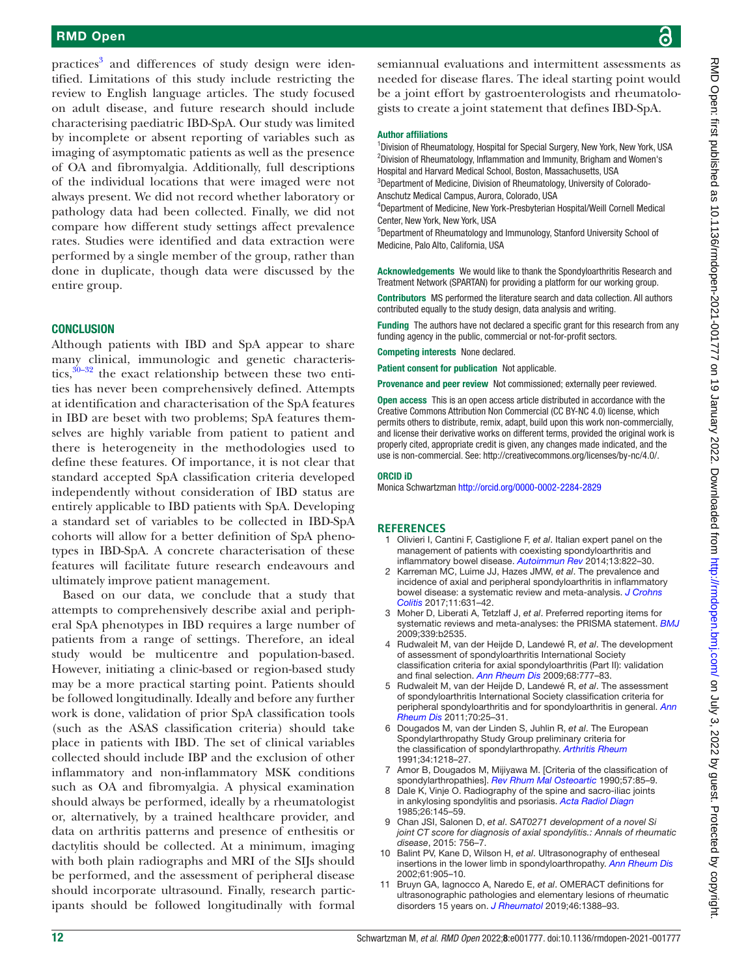### RMD Open

practices<sup>3</sup> and differences of study design were identified. Limitations of this study include restricting the review to English language articles. The study focused on adult disease, and future research should include characterising paediatric IBD-SpA. Our study was limited by incomplete or absent reporting of variables such as imaging of asymptomatic patients as well as the presence of OA and fibromyalgia. Additionally, full descriptions of the individual locations that were imaged were not always present. We did not record whether laboratory or pathology data had been collected. Finally, we did not compare how different study settings affect prevalence rates. Studies were identified and data extraction were performed by a single member of the group, rather than done in duplicate, though data were discussed by the entire group.

### **CONCLUSION**

Although patients with IBD and SpA appear to share many clinical, immunologic and genetic characteristics,  $30-32$  the exact relationship between these two entities has never been comprehensively defined. Attempts at identification and characterisation of the SpA features in IBD are beset with two problems; SpA features themselves are highly variable from patient to patient and there is heterogeneity in the methodologies used to define these features. Of importance, it is not clear that standard accepted SpA classification criteria developed independently without consideration of IBD status are entirely applicable to IBD patients with SpA. Developing a standard set of variables to be collected in IBD-SpA cohorts will allow for a better definition of SpA phenotypes in IBD-SpA. A concrete characterisation of these features will facilitate future research endeavours and ultimately improve patient management.

Based on our data, we conclude that a study that attempts to comprehensively describe axial and peripheral SpA phenotypes in IBD requires a large number of patients from a range of settings. Therefore, an ideal study would be multicentre and population-based. However, initiating a clinic-based or region-based study may be a more practical starting point. Patients should be followed longitudinally. Ideally and before any further work is done, validation of prior SpA classification tools (such as the ASAS classification criteria) should take place in patients with IBD. The set of clinical variables collected should include IBP and the exclusion of other inflammatory and non-inflammatory MSK conditions such as OA and fibromyalgia. A physical examination should always be performed, ideally by a rheumatologist or, alternatively, by a trained healthcare provider, and data on arthritis patterns and presence of enthesitis or dactylitis should be collected. At a minimum, imaging with both plain radiographs and MRI of the SIJs should be performed, and the assessment of peripheral disease should incorporate ultrasound. Finally, research participants should be followed longitudinally with formal

semiannual evaluations and intermittent assessments as needed for disease flares. The ideal starting point would be a joint effort by gastroenterologists and rheumatologists to create a joint statement that defines IBD-SpA.

### Author affiliations

<sup>1</sup> Division of Rheumatology, Hospital for Special Surgery, New York, New York, USA <sup>2</sup> Division of Rheumatology, Inflammation and Immunity, Brigham and Women's Hospital and Harvard Medical School, Boston, Massachusetts, USA <sup>3</sup>Department of Medicine, Division of Rheumatology, University of Colorado-

Anschutz Medical Campus, Aurora, Colorado, USA

4 Department of Medicine, New York-Presbyterian Hospital/Weill Cornell Medical Center, New York, New York, USA

5 Department of Rheumatology and Immunology, Stanford University School of Medicine, Palo Alto, California, USA

Acknowledgements We would like to thank the Spondyloarthritis Research and Treatment Network (SPARTAN) for providing a platform for our working group.

Contributors MS performed the literature search and data collection. All authors contributed equally to the study design, data analysis and writing.

Funding The authors have not declared a specific grant for this research from any funding agency in the public, commercial or not-for-profit sectors.

Competing interests None declared.

Patient consent for publication Not applicable.

Provenance and peer review Not commissioned; externally peer reviewed.

Open access This is an open access article distributed in accordance with the Creative Commons Attribution Non Commercial (CC BY-NC 4.0) license, which permits others to distribute, remix, adapt, build upon this work non-commercially, and license their derivative works on different terms, provided the original work is properly cited, appropriate credit is given, any changes made indicated, and the use is non-commercial. See: <http://creativecommons.org/licenses/by-nc/4.0/>.

### ORCID iD

Monica Schwartzman <http://orcid.org/0000-0002-2284-2829>

### **REFERENCES**

- <span id="page-11-0"></span>1 Olivieri I, Cantini F, Castiglione F, *et al*. Italian expert panel on the management of patients with coexisting spondyloarthritis and inflammatory bowel disease. *[Autoimmun Rev](http://dx.doi.org/10.1016/j.autrev.2014.04.003)* 2014;13:822–30.
- <span id="page-11-1"></span>2 Karreman MC, Luime JJ, Hazes JMW, *et al*. The prevalence and incidence of axial and peripheral spondyloarthritis in inflammatory bowel disease: a systematic review and meta-analysis. *[J Crohns](http://dx.doi.org/10.1093/ecco-jcc/jjw199)  [Colitis](http://dx.doi.org/10.1093/ecco-jcc/jjw199)* 2017;11:631–42.
- <span id="page-11-2"></span>3 Moher D, Liberati A, Tetzlaff J, *et al*. Preferred reporting items for systematic reviews and meta-analyses: the PRISMA statement. *[BMJ](http://dx.doi.org/10.1136/bmj.b2535)* 2009;339:b2535.
- <span id="page-11-3"></span>4 Rudwaleit M, van der Heijde D, Landewé R, *et al*. The development of assessment of spondyloarthritis International Society classification criteria for axial spondyloarthritis (Part II): validation and final selection. *[Ann Rheum Dis](http://dx.doi.org/10.1136/ard.2009.108233)* 2009;68:777–83.
- 5 Rudwaleit M, van der Heijde D, Landewé R, *et al*. The assessment of spondyloarthritis International Society classification criteria for peripheral spondyloarthritis and for spondyloarthritis in general. *[Ann](http://dx.doi.org/10.1136/ard.2010.133645)  [Rheum Dis](http://dx.doi.org/10.1136/ard.2010.133645)* 2011;70:25–31.
- <span id="page-11-4"></span>6 Dougados M, van der Linden S, Juhlin R, *et al*. The European Spondylarthropathy Study Group preliminary criteria for the classification of spondylarthropathy. *[Arthritis Rheum](http://dx.doi.org/10.1002/art.1780341003)* 1991;34:1218–27.
- <span id="page-11-5"></span>7 Amor B, Dougados M, Mijiyawa M. [Criteria of the classification of spondylarthropathies]. *[Rev Rhum Mal Osteoartic](http://www.ncbi.nlm.nih.gov/pubmed/2181618)* 1990;57:85–9.
- <span id="page-11-6"></span>Dale K, Vinje O. Radiography of the spine and sacro-iliac joints in ankylosing spondylitis and psoriasis. *[Acta Radiol Diagn](http://dx.doi.org/10.1177/028418518502600205)* 1985;26:145–59.
- 9 Chan JSI, Salonen D, *et al*. *SAT0271 development of a novel Si joint CT score for diagnosis of axial spondylitis.: Annals of rheumatic disease*, 2015: 756–7.
- <span id="page-11-7"></span>10 Balint PV, Kane D, Wilson H, *et al*. Ultrasonography of entheseal insertions in the lower limb in spondyloarthropathy. *[Ann Rheum Dis](http://dx.doi.org/10.1136/ard.61.10.905)* 2002;61:905–10.
- 11 Bruyn GA, Iagnocco A, Naredo E, *et al*. OMERACT definitions for ultrasonographic pathologies and elementary lesions of rheumatic disorders 15 years on. *[J Rheumatol](http://dx.doi.org/10.3899/jrheum.181095)* 2019;46:1388–93.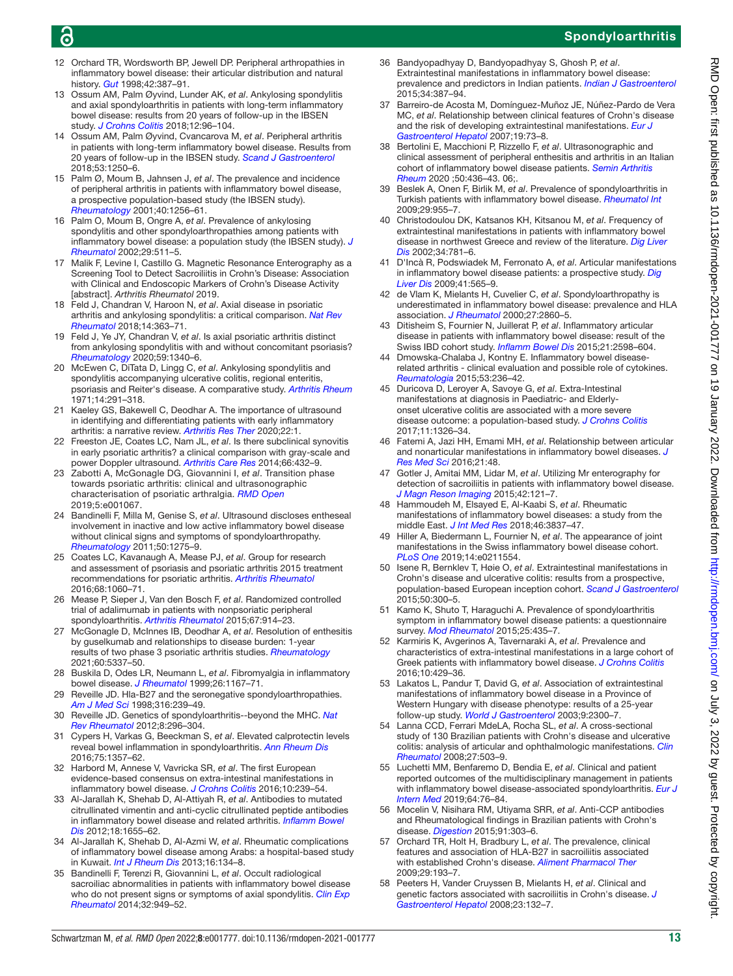# 6

# Spondyloarthritis

- <span id="page-12-31"></span>12 Orchard TR, Wordsworth BP, Jewell DP. Peripheral arthropathies in inflammatory bowel disease: their articular distribution and natural history. *[Gut](http://dx.doi.org/10.1136/gut.42.3.387)* 1998;42:387–91.
- <span id="page-12-26"></span>13 Ossum AM, Palm Øyvind, Lunder AK, *et al*. Ankylosing spondylitis and axial spondyloarthritis in patients with long-term inflammatory bowel disease: results from 20 years of follow-up in the IBSEN study. *[J Crohns Colitis](http://dx.doi.org/10.1093/ecco-jcc/jjx126)* 2018;12:96–104.
- <span id="page-12-27"></span>14 Ossum AM, Palm Øyvind, Cvancarova M, *et al*. Peripheral arthritis in patients with long-term inflammatory bowel disease. Results from 20 years of follow-up in the IBSEN study. *[Scand J Gastroenterol](http://dx.doi.org/10.1080/00365521.2018.1518482)* 2018;53:1250–6.
- <span id="page-12-28"></span>15 Palm Ø, Moum B, Jahnsen J, *et al*. The prevalence and incidence of peripheral arthritis in patients with inflammatory bowel disease, a prospective population-based study (the IBSEN study). *[Rheumatology](http://dx.doi.org/10.1093/rheumatology/40.11.1256)* 2001;40:1256–61.
- <span id="page-12-29"></span>16 Palm O, Moum B, Ongre A, *et al*. Prevalence of ankylosing spondylitis and other spondyloarthropathies among patients with inflammatory bowel disease: a population study (the IBSEN study). *[J](http://www.ncbi.nlm.nih.gov/pubmed/11908564)  [Rheumatol](http://www.ncbi.nlm.nih.gov/pubmed/11908564)* 2002;29:511–5.
- <span id="page-12-32"></span>17 Malik F, Levine I, Castillo G. Magnetic Resonance Enterography as a Screening Tool to Detect Sacroiliitis in Crohn's Disease: Association with Clinical and Endoscopic Markers of Crohn's Disease Activity [abstract]. *Arthritis Rheumatol* 2019.
- <span id="page-12-33"></span>18 Feld J, Chandran V, Haroon N, *et al*. Axial disease in psoriatic arthritis and ankylosing spondylitis: a critical comparison. *[Nat Rev](http://dx.doi.org/10.1038/s41584-018-0006-8)  [Rheumatol](http://dx.doi.org/10.1038/s41584-018-0006-8)* 2018;14:363–71.
- 19 Feld J, Ye JY, Chandran V, *et al*. Is axial psoriatic arthritis distinct from ankylosing spondylitis with and without concomitant psoriasis? *[Rheumatology](http://dx.doi.org/10.1093/rheumatology/kez457)* 2020;59:1340–6.
- <span id="page-12-34"></span>20 McEwen C, DiTata D, Lingg C, *et al*. Ankylosing spondylitis and spondylitis accompanying ulcerative colitis, regional enteritis, psoriasis and Reiter's disease. A comparative study. *[Arthritis Rheum](http://dx.doi.org/10.1002/art.1780140302)* 1971;14:291–318.
- <span id="page-12-35"></span>21 Kaeley GS, Bakewell C, Deodhar A. The importance of ultrasound in identifying and differentiating patients with early inflammatory arthritis: a narrative review. *[Arthritis Res Ther](http://dx.doi.org/10.1186/s13075-019-2050-4)* 2020;22:1.
- <span id="page-12-36"></span>22 Freeston JE, Coates LC, Nam JL, *et al*. Is there subclinical synovitis in early psoriatic arthritis? a clinical comparison with gray-scale and power Doppler ultrasound. *[Arthritis Care Res](http://dx.doi.org/10.1002/acr.22158)* 2014;66:432–9.
- 23 Zabotti A, McGonagle DG, Giovannini I, *et al*. Transition phase towards psoriatic arthritis: clinical and ultrasonographic characterisation of psoriatic arthralgia. *[RMD Open](http://dx.doi.org/10.1136/rmdopen-2019-001067)* 2019;5:e001067.
- <span id="page-12-2"></span>24 Bandinelli F, Milla M, Genise S, *et al*. Ultrasound discloses entheseal involvement in inactive and low active inflammatory bowel disease without clinical signs and symptoms of spondyloarthropathy. *[Rheumatology](http://dx.doi.org/10.1093/rheumatology/keq447)* 2011;50:1275–9.
- <span id="page-12-37"></span>25 Coates LC, Kavanaugh A, Mease PJ, *et al*. Group for research and assessment of psoriasis and psoriatic arthritis 2015 treatment recommendations for psoriatic arthritis. *[Arthritis Rheumatol](http://dx.doi.org/10.1002/art.39573)* 2016;68:1060–71.
- 26 Mease P, Sieper J, Van den Bosch F, *et al*. Randomized controlled trial of adalimumab in patients with nonpsoriatic peripheral spondyloarthritis. *[Arthritis Rheumatol](http://dx.doi.org/10.1002/art.39008)* 2015;67:914–23.
- 27 McGonagle D, McInnes IB, Deodhar A, *et al*. Resolution of enthesitis by guselkumab and relationships to disease burden: 1-year results of two phase 3 psoriatic arthritis studies. *[Rheumatology](http://dx.doi.org/10.1093/rheumatology/keab285)* 2021;60:5337–50.
- <span id="page-12-38"></span>28 Buskila D, Odes LR, Neumann L, *et al*. Fibromyalgia in inflammatory bowel disease. *[J Rheumatol](http://www.ncbi.nlm.nih.gov/pubmed/10332985)* 1999;26:1167–71.
- <span id="page-12-39"></span>29 Reveille JD. Hla-B27 and the seronegative spondyloarthropathies. *[Am J Med Sci](http://dx.doi.org/10.1097/00000441-199810000-00004)* 1998;316:239–49.
- <span id="page-12-40"></span>30 Reveille JD. Genetics of spondyloarthritis--beyond the MHC. *[Nat](http://dx.doi.org/10.1038/nrrheum.2012.41)  [Rev Rheumatol](http://dx.doi.org/10.1038/nrrheum.2012.41)* 2012;8:296–304.
- 31 Cypers H, Varkas G, Beeckman S, *et al*. Elevated calprotectin levels reveal bowel inflammation in spondyloarthritis. *[Ann Rheum Dis](http://dx.doi.org/10.1136/annrheumdis-2015-208025)* 2016;75:1357–62.
- 32 Harbord M, Annese V, Vavricka SR, *et al*. The first European evidence-based consensus on extra-intestinal manifestations in inflammatory bowel disease. *[J Crohns Colitis](http://dx.doi.org/10.1093/ecco-jcc/jjv213)* 2016;10:239–54.
- <span id="page-12-0"></span>33 Al-Jarallah K, Shehab D, Al-Attiyah R, *et al*. Antibodies to mutated citrullinated vimentin and anti-cyclic citrullinated peptide antibodies in inflammatory bowel disease and related arthritis. *[Inflamm Bowel](http://dx.doi.org/10.1002/ibd.21937)  [Dis](http://dx.doi.org/10.1002/ibd.21937)* 2012;18:1655–62.
- <span id="page-12-1"></span>34 Al-Jarallah K, Shehab D, Al-Azmi W, *et al*. Rheumatic complications of inflammatory bowel disease among Arabs: a hospital-based study in Kuwait. *[Int J Rheum Dis](http://dx.doi.org/10.1111/j.1756-185X.2012.01811.x)* 2013;16:134–8.
- <span id="page-12-3"></span>35 Bandinelli F, Terenzi R, Giovannini L, *et al*. Occult radiological sacroiliac abnormalities in patients with inflammatory bowel disease who do not present signs or symptoms of axial spondylitis. *[Clin Exp](http://www.ncbi.nlm.nih.gov/pubmed/25152017)  [Rheumatol](http://www.ncbi.nlm.nih.gov/pubmed/25152017)* 2014;32:949–52.
- <span id="page-12-4"></span>Bandyopadhyay D, Bandyopadhyay S, Ghosh P, et al. Extraintestinal manifestations in inflammatory bowel disease: prevalence and predictors in Indian patients. *[Indian J Gastroenterol](http://dx.doi.org/10.1007/s12664-015-0598-8)* 2015;34:387–94.
- <span id="page-12-5"></span>37 Barreiro-de Acosta M, Domínguez-Muñoz JE, Núñez-Pardo de Vera MC, *et al*. Relationship between clinical features of Crohn's disease and the risk of developing extraintestinal manifestations. *[Eur J](http://dx.doi.org/10.1097/01.meg.0000243883.47938.aa)  [Gastroenterol Hepatol](http://dx.doi.org/10.1097/01.meg.0000243883.47938.aa)* 2007;19:73–8.
- <span id="page-12-6"></span>38 Bertolini E, Macchioni P, Rizzello F, *et al*. Ultrasonographic and clinical assessment of peripheral enthesitis and arthritis in an Italian cohort of inflammatory bowel disease patients. *[Semin Arthritis](http://dx.doi.org/10.1016/j.semarthrit.2020.01.001)  [Rheum](http://dx.doi.org/10.1016/j.semarthrit.2020.01.001)* 2020 ;50:436–43. 06;.
- <span id="page-12-7"></span>39 Beslek A, Onen F, Birlik M, *et al*. Prevalence of spondyloarthritis in Turkish patients with inflammatory bowel disease. *[Rheumatol Int](http://dx.doi.org/10.1007/s00296-008-0811-5)* 2009;29:955–7.
- <span id="page-12-8"></span>40 Christodoulou DK, Katsanos KH, Kitsanou M, *et al*. Frequency of extraintestinal manifestations in patients with inflammatory bowel disease in northwest Greece and review of the literature. *[Dig Liver](http://dx.doi.org/10.1016/s1590-8658(02)80071-8)  [Dis](http://dx.doi.org/10.1016/s1590-8658(02)80071-8)* 2002;34:781–6.
- <span id="page-12-9"></span>41 D'Incà R, Podswiadek M, Ferronato A, *et al*. Articular manifestations in inflammatory bowel disease patients: a prospective study. *[Dig](http://dx.doi.org/10.1016/j.dld.2009.01.013)  [Liver Dis](http://dx.doi.org/10.1016/j.dld.2009.01.013)* 2009;41:565–9.
- <span id="page-12-10"></span>42 de Vlam K, Mielants H, Cuvelier C, *et al*. Spondyloarthropathy is underestimated in inflammatory bowel disease: prevalence and HLA association. *[J Rheumatol](http://www.ncbi.nlm.nih.gov/pubmed/11128677)* 2000;27:2860–5.
- <span id="page-12-11"></span>43 Ditisheim S, Fournier N, Juillerat P, *et al*. Inflammatory articular disease in patients with inflammatory bowel disease: result of the Swiss IBD cohort study. *[Inflamm Bowel Dis](http://dx.doi.org/10.1097/MIB.0000000000000548)* 2015;21:2598–604.
- <span id="page-12-12"></span>44 Dmowska-Chalaba J, Kontny E. Inflammatory bowel diseaserelated arthritis - clinical evaluation and possible role of cytokines. *[Reumatologia](http://dx.doi.org/10.5114/reum.2015.55824)* 2015;53:236–42.
- <span id="page-12-13"></span>45 Duricova D, Leroyer A, Savoye G, *et al*. Extra-Intestinal manifestations at diagnosis in Paediatric- and Elderlyonset ulcerative colitis are associated with a more severe disease outcome: a population-based study. *[J Crohns Colitis](http://dx.doi.org/10.1093/ecco-jcc/jjx092)* 2017;11:1326–34.
- <span id="page-12-14"></span>46 Fatemi A, Jazi HH, Emami MH, *et al*. Relationship between articular and nonarticular manifestations in inflammatory bowel diseases. *[J](http://dx.doi.org/10.4103/1735-1995.183989)  [Res Med Sci](http://dx.doi.org/10.4103/1735-1995.183989)* 2016;21:48.
- <span id="page-12-15"></span>47 Gotler J, Amitai MM, Lidar M, *et al*. Utilizing Mr enterography for detection of sacroiliitis in patients with inflammatory bowel disease. *[J Magn Reson Imaging](http://dx.doi.org/10.1002/jmri.24762)* 2015;42:121–7.
- <span id="page-12-16"></span>48 Hammoudeh M, Elsayed E, Al-Kaabi S, *et al*. Rheumatic manifestations of inflammatory bowel diseases: a study from the middle East. *[J Int Med Res](http://dx.doi.org/10.1177/0300060518781404)* 2018;46:3837–47.
- <span id="page-12-17"></span>49 Hiller A, Biedermann L, Fournier N, *et al*. The appearance of joint manifestations in the Swiss inflammatory bowel disease cohort. *[PLoS One](http://dx.doi.org/10.1371/journal.pone.0211554)* 2019;14:e0211554.
- <span id="page-12-18"></span>50 Isene R, Bernklev T, Høie O, *et al*. Extraintestinal manifestations in Crohn's disease and ulcerative colitis: results from a prospective, population-based European inception cohort. *[Scand J Gastroenterol](http://dx.doi.org/10.3109/00365521.2014.991752)* 2015;50:300–5.
- <span id="page-12-19"></span>51 Kamo K, Shuto T, Haraguchi A. Prevalence of spondyloarthritis symptom in inflammatory bowel disease patients: a questionnaire survey. *[Mod Rheumatol](http://dx.doi.org/10.3109/14397595.2014.964925)* 2015;25:435–7.
- <span id="page-12-20"></span>52 Karmiris K, Avgerinos A, Tavernaraki A, *et al*. Prevalence and characteristics of extra-intestinal manifestations in a large cohort of Greek patients with inflammatory bowel disease. *[J Crohns Colitis](http://dx.doi.org/10.1093/ecco-jcc/jjv232)* 2016;10:429–36.
- <span id="page-12-21"></span>53 Lakatos L, Pandur T, David G, *et al*. Association of extraintestinal manifestations of inflammatory bowel disease in a Province of Western Hungary with disease phenotype: results of a 25-year follow-up study. *[World J Gastroenterol](http://dx.doi.org/10.3748/wjg.v9.i10.2300)* 2003;9:2300–7.
- <span id="page-12-22"></span>54 Lanna CCD, Ferrari MdeLA, Rocha SL, *et al*. A cross-sectional study of 130 Brazilian patients with Crohn's disease and ulcerative colitis: analysis of articular and ophthalmologic manifestations. *[Clin](http://dx.doi.org/10.1007/s10067-007-0797-5)  [Rheumatol](http://dx.doi.org/10.1007/s10067-007-0797-5)* 2008;27:503–9.
- <span id="page-12-23"></span>55 Luchetti MM, Benfaremo D, Bendia E, *et al*. Clinical and patient reported outcomes of the multidisciplinary management in patients with inflammatory bowel disease-associated spondyloarthritis. *[Eur J](http://dx.doi.org/10.1016/j.ejim.2019.04.015)  [Intern Med](http://dx.doi.org/10.1016/j.ejim.2019.04.015)* 2019;64:76–84.
- <span id="page-12-24"></span>56 Mocelin V, Nisihara RM, Utiyama SRR, *et al*. Anti-CCP antibodies and Rheumatological findings in Brazilian patients with Crohn's disease. *[Digestion](http://dx.doi.org/10.1159/000369899)* 2015;91:303–6.
- <span id="page-12-25"></span>57 Orchard TR, Holt H, Bradbury L, *et al*. The prevalence, clinical features and association of HLA-B27 in sacroiliitis associated with established Crohn's disease. *[Aliment Pharmacol Ther](http://dx.doi.org/10.1111/j.1365-2036.2008.03868.x)* 2009;29:193–7.
- <span id="page-12-30"></span>58 Peeters H, Vander Cruyssen B, Mielants H, *et al*. Clinical and genetic factors associated with sacroiliitis in Crohn's disease. *[J](http://dx.doi.org/10.1111/j.1440-1746.2007.05108.x)  [Gastroenterol Hepatol](http://dx.doi.org/10.1111/j.1440-1746.2007.05108.x)* 2008;23:132–7.